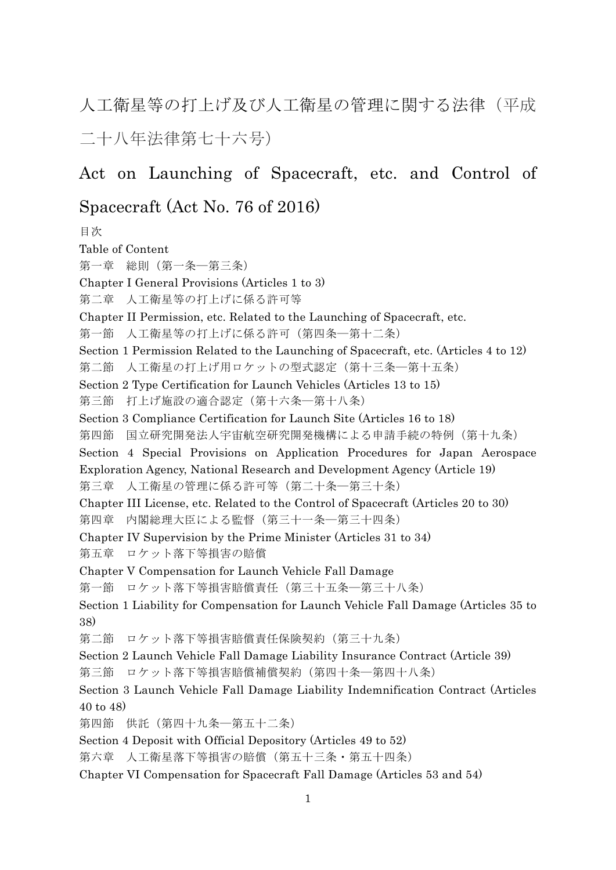人工衛星等の打上げ及び人工衛星の管理に関する法律(平成 二十八年法律第七十六号)

# Act on Launching of Spacecraft, etc. and Control of

# Spacecraft (Act No. 76 of 2016)

目次 Table of Content 第一章 総則(第一条―第三条) Chapter I General Provisions (Articles 1 to 3) 第二章 人工衛星等の打上げに係る許可等 Chapter II Permission, etc. Related to the Launching of Spacecraft, etc. 第一節 人工衛星等の打上げに係る許可(第四条―第十二条) Section 1 Permission Related to the Launching of Spacecraft, etc. (Articles 4 to 12) 第二節 人工衛星の打上げ用ロケットの型式認定(第十三条―第十五条) Section 2 Type Certification for Launch Vehicles (Articles 13 to 15) 第三節 打上げ施設の適合認定(第十六条―第十八条) Section 3 Compliance Certification for Launch Site (Articles 16 to 18) 第四節 国立研究開発法人宇宙航空研究開発機構による申請手続の特例(第十九条) Section 4 Special Provisions on Application Procedures for Japan Aerospace Exploration Agency, National Research and Development Agency (Article 19) 第三章 人工衛星の管理に係る許可等(第二十条―第三十条) Chapter III License, etc. Related to the Control of Spacecraft (Articles 20 to 30) 第四章 内閣総理大臣による監督(第三十一条―第三十四条) Chapter IV Supervision by the Prime Minister (Articles 31 to 34) 第五章 ロケット落下等損害の賠償 Chapter V Compensation for Launch Vehicle Fall Damage 第一節 ロケット落下等損害賠償責任(第三十五条―第三十八条) Section 1 Liability for Compensation for Launch Vehicle Fall Damage (Articles 35 to 38) 第二節 ロケット落下等損害賠償責任保険契約(第三十九条) Section 2 Launch Vehicle Fall Damage Liability Insurance Contract (Article 39) 第三節 ロケット落下等損害賠償補償契約(第四十条―第四十八条) Section 3 Launch Vehicle Fall Damage Liability Indemnification Contract (Articles 40 to 48) 第四節 供託(第四十九条―第五十二条) Section 4 Deposit with Official Depository (Articles 49 to 52) 第六章 人工衛星落下等損害の賠償(第五十三条・第五十四条) Chapter VI Compensation for Spacecraft Fall Damage (Articles 53 and 54)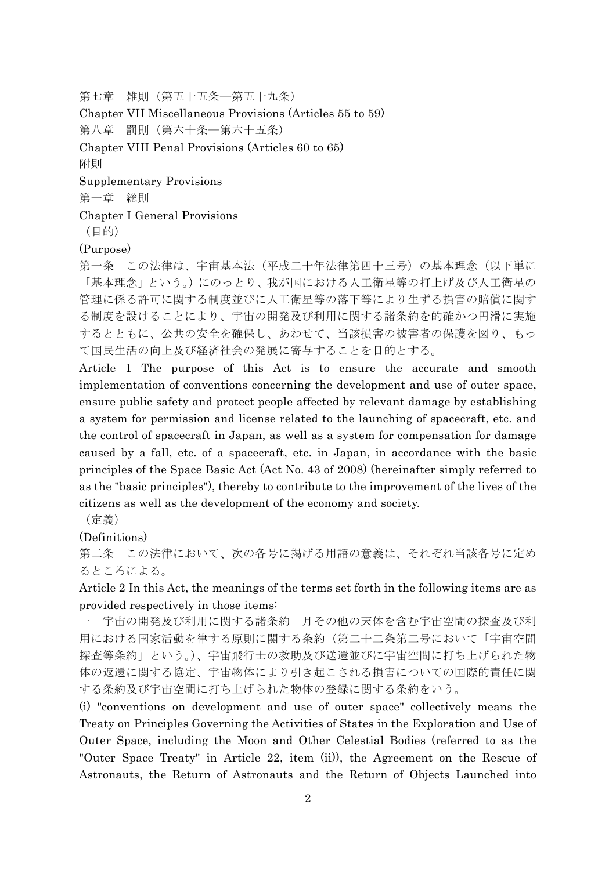第七章 雑則(第五十五条―第五十九条)

Chapter VII Miscellaneous Provisions (Articles 55 to 59)

第八章 罰則(第六十条―第六十五条)

Chapter VIII Penal Provisions (Articles 60 to 65)

附則

Supplementary Provisions

第一章 総則

Chapter I General Provisions

(目的)

(Purpose)

第一条 この法律は、宇宙基本法(平成二十年法律第四十三号)の基本理念(以下単に 「基本理念」という。)にのっとり、我が国における人工衛星等の打上げ及び人工衛星の 管理に係る許可に関する制度並びに人工衛星等の落下等により生ずる損害の賠償に関す る制度を設けることにより、宇宙の開発及び利用に関する諸条約を的確かつ円滑に実施 するとともに、公共の安全を確保し、あわせて、当該損害の被害者の保護を図り、もっ て国民生活の向上及び経済社会の発展に寄与することを目的とする。

Article 1 The purpose of this Act is to ensure the accurate and smooth implementation of conventions concerning the development and use of outer space, ensure public safety and protect people affected by relevant damage by establishing a system for permission and license related to the launching of spacecraft, etc. and the control of spacecraft in Japan, as well as a system for compensation for damage caused by a fall, etc. of a spacecraft, etc. in Japan, in accordance with the basic principles of the Space Basic Act (Act No. 43 of 2008) (hereinafter simply referred to as the "basic principles"), thereby to contribute to the improvement of the lives of the citizens as well as the development of the economy and society.

(定義)

(Definitions)

第二条 この法律において、次の各号に掲げる用語の意義は、それぞれ当該各号に定め るところによる。

Article 2 In this Act, the meanings of the terms set forth in the following items are as provided respectively in those items:

一 宇宙の開発及び利用に関する諸条約 月その他の天体を含む宇宙空間の探査及び利 用における国家活動を律する原則に関する条約(第二十二条第二号において「宇宙空間 探査等条約」という。)、宇宙飛行士の救助及び送還並びに宇宙空間に打ち上げられた物 体の返還に関する協定、宇宙物体により引き起こされる損害についての国際的責任に関 する条約及び宇宙空間に打ち上げられた物体の登録に関する条約をいう。

(i) "conventions on development and use of outer space" collectively means the Treaty on Principles Governing the Activities of States in the Exploration and Use of Outer Space, including the Moon and Other Celestial Bodies (referred to as the "Outer Space Treaty" in Article 22, item (ii)), the Agreement on the Rescue of Astronauts, the Return of Astronauts and the Return of Objects Launched into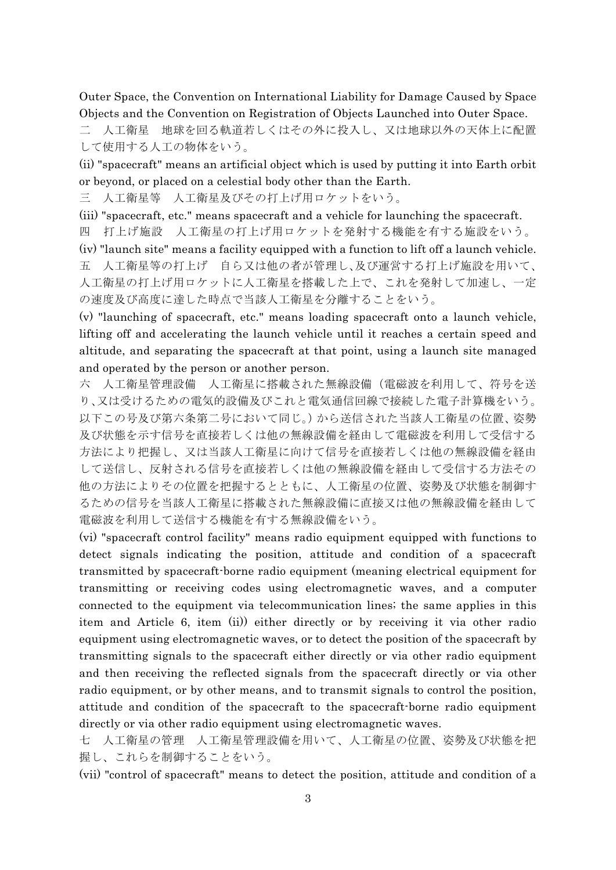Outer Space, the Convention on International Liability for Damage Caused by Space Objects and the Convention on Registration of Objects Launched into Outer Space.

二 人工衛星 地球を回る軌道若しくはその外に投入し、又は地球以外の天体上に配置 して使用する人工の物体をいう。

(ii) "spacecraft" means an artificial object which is used by putting it into Earth orbit or beyond, or placed on a celestial body other than the Earth.

三 人工衛星等 人工衛星及びその打上げ用ロケットをいう。

(iii) "spacecraft, etc." means spacecraft and a vehicle for launching the spacecraft.

四 打上げ施設 人工衛星の打上げ用ロケットを発射する機能を有する施設をいう。

(iv) "launch site" means a facility equipped with a function to lift off a launch vehicle. 五 人工衛星等の打上げ 自ら又は他の者が管理し、及び運営する打上げ施設を用いて、 人工衛星の打上げ用ロケットに人工衛星を搭載した上で、これを発射して加速し、一定 の速度及び高度に達した時点で当該人工衛星を分離することをいう。

(v) "launching of spacecraft, etc." means loading spacecraft onto a launch vehicle, lifting off and accelerating the launch vehicle until it reaches a certain speed and altitude, and separating the spacecraft at that point, using a launch site managed and operated by the person or another person.

六 人工衛星管理設備 人工衛星に搭載された無線設備(電磁波を利用して、符号を送 り、又は受けるための電気的設備及びこれと電気通信回線で接続した電子計算機をいう。 以下この号及び第六条第二号において同じ。)から送信された当該人工衛星の位置、姿勢 及び状態を示す信号を直接若しくは他の無線設備を経由して電磁波を利用して受信する 方法により把握し、又は当該人工衛星に向けて信号を直接若しくは他の無線設備を経由 して送信し、反射される信号を直接若しくは他の無線設備を経由して受信する方法その 他の方法によりその位置を把握するとともに、人工衛星の位置、姿勢及び状態を制御す るための信号を当該人工衛星に搭載された無線設備に直接又は他の無線設備を経由して 電磁波を利用して送信する機能を有する無線設備をいう。

(vi) "spacecraft control facility" means radio equipment equipped with functions to detect signals indicating the position, attitude and condition of a spacecraft transmitted by spacecraft-borne radio equipment (meaning electrical equipment for transmitting or receiving codes using electromagnetic waves, and a computer connected to the equipment via telecommunication lines; the same applies in this item and Article 6, item (ii)) either directly or by receiving it via other radio equipment using electromagnetic waves, or to detect the position of the spacecraft by transmitting signals to the spacecraft either directly or via other radio equipment and then receiving the reflected signals from the spacecraft directly or via other radio equipment, or by other means, and to transmit signals to control the position, attitude and condition of the spacecraft to the spacecraft-borne radio equipment directly or via other radio equipment using electromagnetic waves.

七 人工衛星の管理 人工衛星管理設備を用いて、人工衛星の位置、姿勢及び状態を把 握し、これらを制御することをいう。

(vii) "control of spacecraft" means to detect the position, attitude and condition of a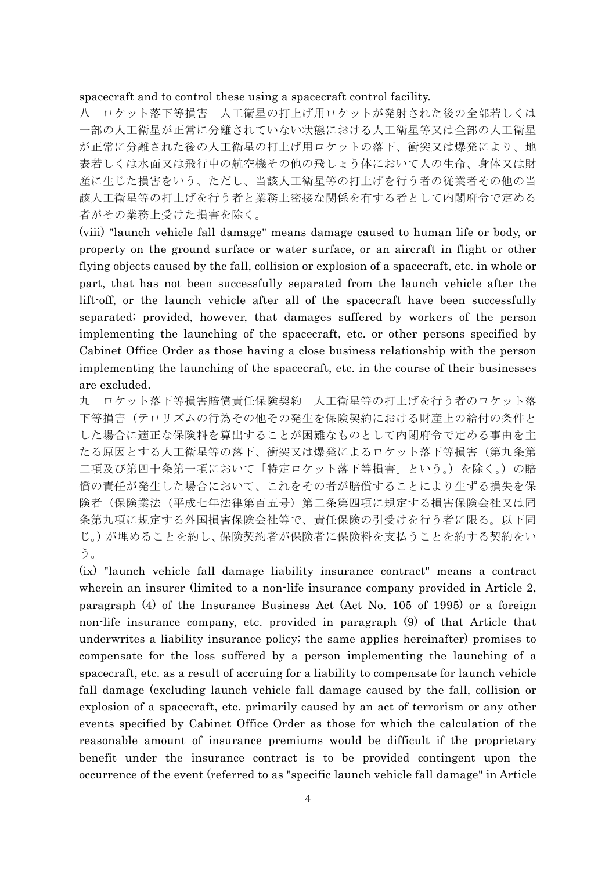#### spacecraft and to control these using a spacecraft control facility.

八 ロケット落下等損害 人工衛星の打上げ用ロケットが発射された後の全部若しくは 一部の人工衛星が正常に分離されていない状態における人工衛星等又は全部の人工衛星 が正常に分離された後の人工衛星の打上げ用ロケットの落下、衝突又は爆発により、地 表若しくは水面又は飛行中の航空機その他の飛しょう体において人の生命、身体又は財 産に生じた損害をいう。ただし、当該人工衛星等の打上げを行う者の従業者その他の当 該人工衛星等の打上げを行う者と業務上密接な関係を有する者として内閣府令で定める 者がその業務上受けた損害を除く。

(viii) "launch vehicle fall damage" means damage caused to human life or body, or property on the ground surface or water surface, or an aircraft in flight or other flying objects caused by the fall, collision or explosion of a spacecraft, etc. in whole or part, that has not been successfully separated from the launch vehicle after the lift-off, or the launch vehicle after all of the spacecraft have been successfully separated; provided, however, that damages suffered by workers of the person implementing the launching of the spacecraft, etc. or other persons specified by Cabinet Office Order as those having a close business relationship with the person implementing the launching of the spacecraft, etc. in the course of their businesses are excluded.

九 ロケット落下等損害賠償責任保険契約 人工衛星等の打上げを行う者のロケット落 下等損害(テロリズムの行為その他その発生を保険契約における財産上の給付の条件と した場合に適正な保険料を算出することが困難なものとして内閣府令で定める事由を主 たる原因とする人工衛星等の落下、衝突又は爆発によるロケット落下等損害(第九条第 二項及び第四十条第一項において「特定ロケット落下等損害」という。)を除く。)の賠 償の責任が発生した場合において、これをその者が賠償することにより生ずる損失を保 険者(保険業法(平成七年法律第百五号)第二条第四項に規定する損害保険会社又は同 条第九項に規定する外国損害保険会社等で、責任保険の引受けを行う者に限る。以下同 じ。)が埋めることを約し、保険契約者が保険者に保険料を支払うことを約する契約をい う。

(ix) "launch vehicle fall damage liability insurance contract" means a contract wherein an insurer (limited to a non-life insurance company provided in Article 2, paragraph (4) of the Insurance Business Act (Act No. 105 of 1995) or a foreign non-life insurance company, etc. provided in paragraph (9) of that Article that underwrites a liability insurance policy; the same applies hereinafter) promises to compensate for the loss suffered by a person implementing the launching of a spacecraft, etc. as a result of accruing for a liability to compensate for launch vehicle fall damage (excluding launch vehicle fall damage caused by the fall, collision or explosion of a spacecraft, etc. primarily caused by an act of terrorism or any other events specified by Cabinet Office Order as those for which the calculation of the reasonable amount of insurance premiums would be difficult if the proprietary benefit under the insurance contract is to be provided contingent upon the occurrence of the event (referred to as "specific launch vehicle fall damage" in Article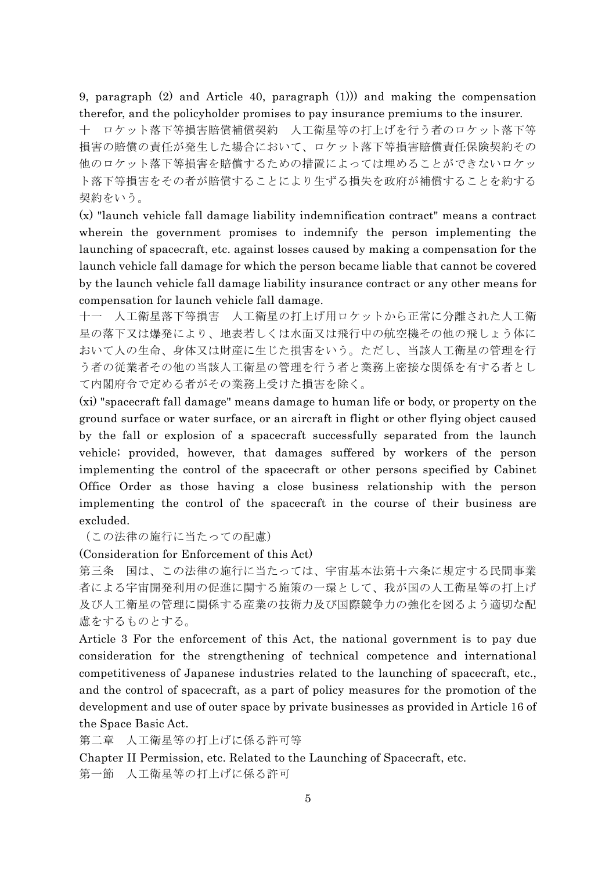9, paragraph (2) and Article 40, paragraph (1))) and making the compensation therefor, and the policyholder promises to pay insurance premiums to the insurer.

十 ロケット落下等損害賠償補償契約 人工衛星等の打上げを行う者のロケット落下等 損害の賠償の責任が発生した場合において、ロケット落下等損害賠償責任保険契約その 他のロケット落下等損害を賠償するための措置によっては埋めることができないロケッ ト落下等損害をその者が賠償することにより生ずる損失を政府が補償することを約する 契約をいう。

(x) "launch vehicle fall damage liability indemnification contract" means a contract wherein the government promises to indemnify the person implementing the launching of spacecraft, etc. against losses caused by making a compensation for the launch vehicle fall damage for which the person became liable that cannot be covered by the launch vehicle fall damage liability insurance contract or any other means for compensation for launch vehicle fall damage.

十一 人工衛星落下等損害 人工衛星の打上げ用ロケットから正常に分離された人工衛 星の落下又は爆発により、地表若しくは水面又は飛行中の航空機その他の飛しょう体に おいて人の生命、身体又は財産に生じた損害をいう。ただし、当該人工衛星の管理を行 う者の従業者その他の当該人工衛星の管理を行う者と業務上密接な関係を有する者とし て内閣府令で定める者がその業務上受けた損害を除く。

(xi) "spacecraft fall damage" means damage to human life or body, or property on the ground surface or water surface, or an aircraft in flight or other flying object caused by the fall or explosion of a spacecraft successfully separated from the launch vehicle; provided, however, that damages suffered by workers of the person implementing the control of the spacecraft or other persons specified by Cabinet Office Order as those having a close business relationship with the person implementing the control of the spacecraft in the course of their business are excluded.

(この法律の施行に当たっての配慮)

(Consideration for Enforcement of this Act)

第三条 国は、この法律の施行に当たっては、宇宙基本法第十六条に規定する民間事業 者による宇宙開発利用の促進に関する施策の一環として、我が国の人工衛星等の打上げ 及び人工衛星の管理に関係する産業の技術力及び国際競争力の強化を図るよう適切な配 慮をするものとする。

Article 3 For the enforcement of this Act, the national government is to pay due consideration for the strengthening of technical competence and international competitiveness of Japanese industries related to the launching of spacecraft, etc., and the control of spacecraft, as a part of policy measures for the promotion of the development and use of outer space by private businesses as provided in Article 16 of the Space Basic Act.

第二章 人工衛星等の打上げに係る許可等

Chapter II Permission, etc. Related to the Launching of Spacecraft, etc. 第一節 人工衛星等の打上げに係る許可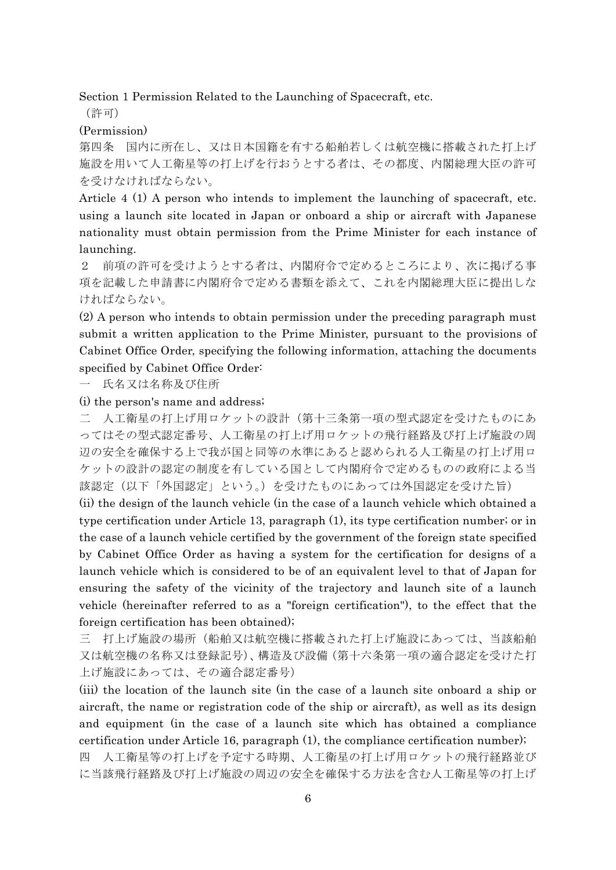Section 1 Permission Related to the Launching of Spacecraft, etc.

(許可)

(Permission)

第四条 国内に所在し、又は日本国籍を有する船舶若しくは航空機に搭載された打上げ 施設を用いて人工衛星等の打上げを行おうとする者は、その都度、内閣総理大臣の許可 を受けなければならない。

Article 4 (1) A person who intends to implement the launching of spacecraft, etc. using a launch site located in Japan or onboard a ship or aircraft with Japanese nationality must obtain permission from the Prime Minister for each instance of launching.

2 前項の許可を受けようとする者は、内閣府令で定めるところにより、次に掲げる事 項を記載した申請書に内閣府令で定める書類を添えて、これを内閣総理大臣に提出しな ければならない。

(2) A person who intends to obtain permission under the preceding paragraph must submit a written application to the Prime Minister, pursuant to the provisions of Cabinet Office Order, specifying the following information, attaching the documents specified by Cabinet Office Order:

一 氏名又は名称及び住所

(i) the person's name and address;

二 人工衛星の打上げ用ロケットの設計(第十三条第一項の型式認定を受けたものにあ ってはその型式認定番号、人工衛星の打上げ用ロケットの飛行経路及び打上げ施設の周 辺の安全を確保する上で我が国と同等の水準にあると認められる人工衛星の打上げ用ロ ケットの設計の認定の制度を有している国として内閣府令で定めるものの政府による当 該認定(以下「外国認定」という。)を受けたものにあっては外国認定を受けた旨)

(ii) the design of the launch vehicle (in the case of a launch vehicle which obtained a type certification under Article 13, paragraph (1), its type certification number; or in the case of a launch vehicle certified by the government of the foreign state specified by Cabinet Office Order as having a system for the certification for designs of a launch vehicle which is considered to be of an equivalent level to that of Japan for ensuring the safety of the vicinity of the trajectory and launch site of a launch vehicle (hereinafter referred to as a "foreign certification"), to the effect that the foreign certification has been obtained);

三 打上げ施設の場所(船舶又は航空機に搭載された打上げ施設にあっては、当該船舶 又は航空機の名称又は登録記号)、構造及び設備(第十六条第一項の適合認定を受けた打 上げ施設にあっては、その適合認定番号)

(iii) the location of the launch site (in the case of a launch site onboard a ship or aircraft, the name or registration code of the ship or aircraft), as well as its design and equipment (in the case of a launch site which has obtained a compliance certification under Article 16, paragraph (1), the compliance certification number); 四 人工衛星等の打上げを予定する時期、人工衛星の打上げ用ロケットの飛行経路並び に当該飛行経路及び打上げ施設の周辺の安全を確保する方法を含む人工衛星等の打上げ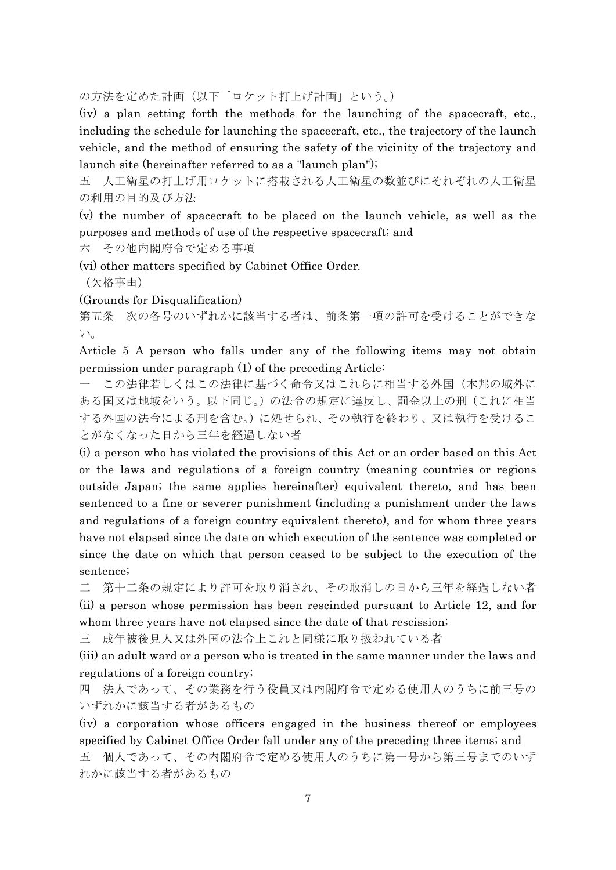の方法を定めた計画(以下「ロケット打上げ計画」という。)

(iv) a plan setting forth the methods for the launching of the spacecraft, etc., including the schedule for launching the spacecraft, etc., the trajectory of the launch vehicle, and the method of ensuring the safety of the vicinity of the trajectory and launch site (hereinafter referred to as a "launch plan");

五 人工衛星の打上げ用ロケットに搭載される人工衛星の数並びにそれぞれの人工衛星 の利用の目的及び方法

(v) the number of spacecraft to be placed on the launch vehicle, as well as the purposes and methods of use of the respective spacecraft; and

六 その他内閣府令で定める事項

(vi) other matters specified by Cabinet Office Order.

(欠格事由)

(Grounds for Disqualification)

第五条 次の各号のいずれかに該当する者は、前条第一項の許可を受けることができな い。

Article 5 A person who falls under any of the following items may not obtain permission under paragraph (1) of the preceding Article:

一 この法律若しくはこの法律に基づく命令又はこれらに相当する外国(本邦の域外に ある国又は地域をいう。以下同じ。)の法令の規定に違反し、罰金以上の刑(これに相当 する外国の法令による刑を含む。)に処せられ、その執行を終わり、又は執行を受けるこ とがなくなった日から三年を経過しない者

(i) a person who has violated the provisions of this Act or an order based on this Act or the laws and regulations of a foreign country (meaning countries or regions outside Japan; the same applies hereinafter) equivalent thereto, and has been sentenced to a fine or severer punishment (including a punishment under the laws and regulations of a foreign country equivalent thereto), and for whom three years have not elapsed since the date on which execution of the sentence was completed or since the date on which that person ceased to be subject to the execution of the sentence;

二 第十二条の規定により許可を取り消され、その取消しの日から三年を経過しない者 (ii) a person whose permission has been rescinded pursuant to Article 12, and for whom three years have not elapsed since the date of that rescission;

三 成年被後見人又は外国の法令上これと同様に取り扱われている者

(iii) an adult ward or a person who is treated in the same manner under the laws and regulations of a foreign country;

四 法人であって、その業務を行う役員又は内閣府令で定める使用人のうちに前三号の いずれかに該当する者があるもの

(iv) a corporation whose officers engaged in the business thereof or employees specified by Cabinet Office Order fall under any of the preceding three items; and 五 個人であって、その内閣府令で定める使用人のうちに第一号から第三号までのいず れかに該当する者があるもの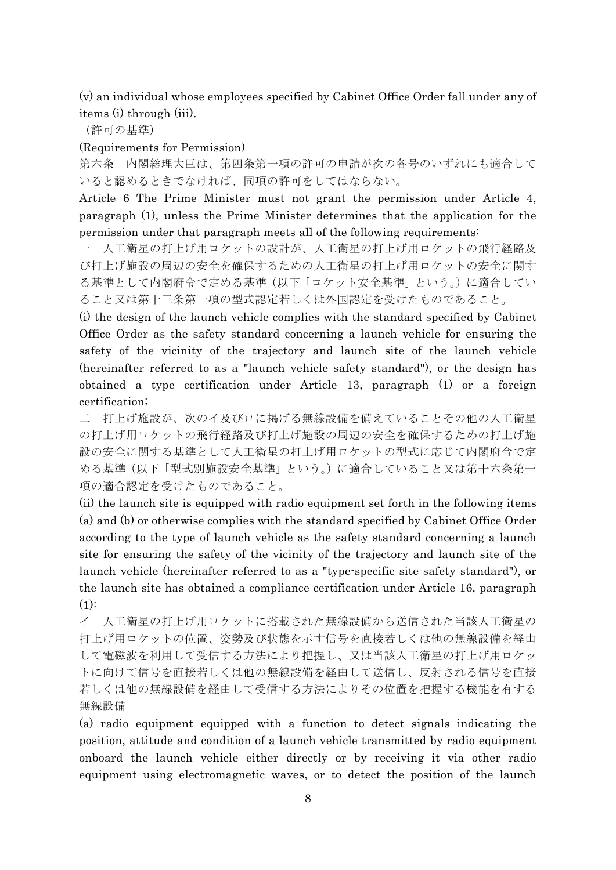(v) an individual whose employees specified by Cabinet Office Order fall under any of items (i) through (iii).

(許可の基準)

#### (Requirements for Permission)

第六条 内閣総理大臣は、第四条第一項の許可の申請が次の各号のいずれにも適合して いると認めるときでなければ、同項の許可をしてはならない。

Article 6 The Prime Minister must not grant the permission under Article 4, paragraph (1), unless the Prime Minister determines that the application for the permission under that paragraph meets all of the following requirements:

一 人工衛星の打上げ用ロケットの設計が、人工衛星の打上げ用ロケットの飛行経路及 び打上げ施設の周辺の安全を確保するための人工衛星の打上げ用ロケットの安全に関す る基準として内閣府令で定める基準(以下「ロケット安全基準」という。)に適合してい ること又は第十三条第一項の型式認定若しくは外国認定を受けたものであること。

(i) the design of the launch vehicle complies with the standard specified by Cabinet Office Order as the safety standard concerning a launch vehicle for ensuring the safety of the vicinity of the trajectory and launch site of the launch vehicle (hereinafter referred to as a "launch vehicle safety standard"), or the design has obtained a type certification under Article 13, paragraph (1) or a foreign certification;

二 打上げ施設が、次のイ及びロに掲げる無線設備を備えていることその他の人工衛星 の打上げ用ロケットの飛行経路及び打上げ施設の周辺の安全を確保するための打上げ施 設の安全に関する基準として人工衛星の打上げ用ロケットの型式に応じて内閣府令で定 める基準(以下「型式別施設安全基準」という。)に適合していること又は第十六条第一 項の適合認定を受けたものであること。

(ii) the launch site is equipped with radio equipment set forth in the following items (a) and (b) or otherwise complies with the standard specified by Cabinet Office Order according to the type of launch vehicle as the safety standard concerning a launch site for ensuring the safety of the vicinity of the trajectory and launch site of the launch vehicle (hereinafter referred to as a "type-specific site safety standard"), or the launch site has obtained a compliance certification under Article 16, paragraph  $(1)$ :

イ 人工衛星の打上げ用ロケットに搭載された無線設備から送信された当該人工衛星の 打上げ用ロケットの位置、姿勢及び状態を示す信号を直接若しくは他の無線設備を経由 して電磁波を利用して受信する方法により把握し、又は当該人工衛星の打上げ用ロケッ トに向けて信号を直接若しくは他の無線設備を経由して送信し、反射される信号を直接 若しくは他の無線設備を経由して受信する方法によりその位置を把握する機能を有する 無線設備

(a) radio equipment equipped with a function to detect signals indicating the position, attitude and condition of a launch vehicle transmitted by radio equipment onboard the launch vehicle either directly or by receiving it via other radio equipment using electromagnetic waves, or to detect the position of the launch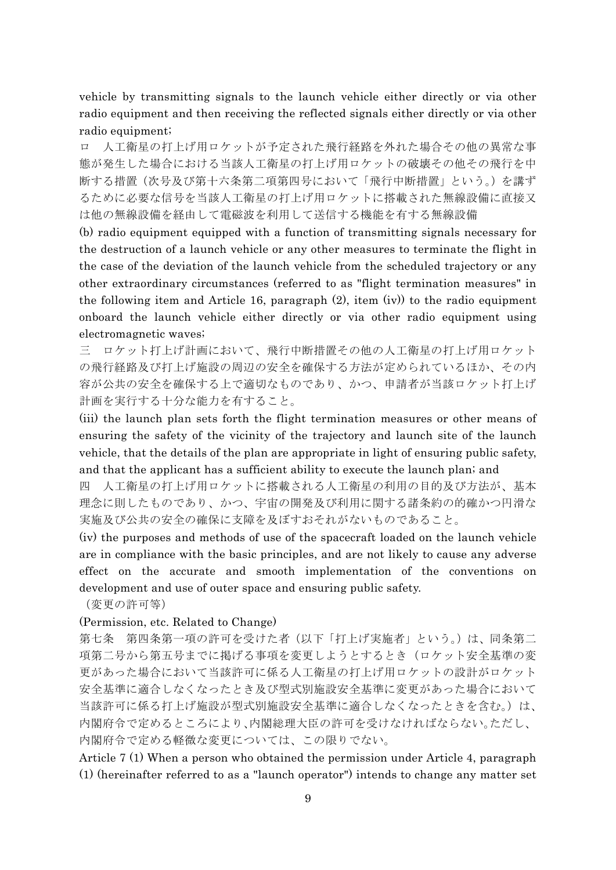vehicle by transmitting signals to the launch vehicle either directly or via other radio equipment and then receiving the reflected signals either directly or via other radio equipment;

ロ 人工衛星の打上げ用ロケットが予定された飛行経路を外れた場合その他の異常な事 態が発生した場合における当該人工衛星の打上げ用ロケットの破壊その他その飛行を中 断する措置(次号及び第十六条第二項第四号において「飛行中断措置」という。)を講ず るために必要な信号を当該人工衛星の打上げ用ロケットに搭載された無線設備に直接又 は他の無線設備を経由して電磁波を利用して送信する機能を有する無線設備

(b) radio equipment equipped with a function of transmitting signals necessary for the destruction of a launch vehicle or any other measures to terminate the flight in the case of the deviation of the launch vehicle from the scheduled trajectory or any other extraordinary circumstances (referred to as "flight termination measures" in the following item and Article 16, paragraph (2), item (iv)) to the radio equipment onboard the launch vehicle either directly or via other radio equipment using electromagnetic waves;

三 ロケット打上げ計画において、飛行中断措置その他の人工衛星の打上げ用ロケット の飛行経路及び打上げ施設の周辺の安全を確保する方法が定められているほか、その内 容が公共の安全を確保する上で適切なものであり、かつ、申請者が当該ロケット打上げ 計画を実行する十分な能力を有すること。

(iii) the launch plan sets forth the flight termination measures or other means of ensuring the safety of the vicinity of the trajectory and launch site of the launch vehicle, that the details of the plan are appropriate in light of ensuring public safety, and that the applicant has a sufficient ability to execute the launch plan; and

四 人工衛星の打上げ用ロケットに搭載される人工衛星の利用の目的及び方法が、基本 理念に則したものであり、かつ、宇宙の開発及び利用に関する諸条約の的確かつ円滑な 実施及び公共の安全の確保に支障を及ぼすおそれがないものであること。

(iv) the purposes and methods of use of the spacecraft loaded on the launch vehicle are in compliance with the basic principles, and are not likely to cause any adverse effect on the accurate and smooth implementation of the conventions on development and use of outer space and ensuring public safety.

(変更の許可等)

# (Permission, etc. Related to Change)

第七条 第四条第一項の許可を受けた者(以下「打上げ実施者」という。)は、同条第二 項第二号から第五号までに掲げる事項を変更しようとするとき(ロケット安全基準の変 更があった場合において当該許可に係る人工衛星の打上げ用ロケットの設計がロケット 安全基準に適合しなくなったとき及び型式別施設安全基準に変更があった場合において 当該許可に係る打上げ施設が型式別施設安全基準に適合しなくなったときを含む。)は、 内閣府令で定めるところにより、内閣総理大臣の許可を受けなければならない。ただし、 内閣府令で定める軽微な変更については、この限りでない。

Article 7 (1) When a person who obtained the permission under Article 4, paragraph (1) (hereinafter referred to as a "launch operator") intends to change any matter set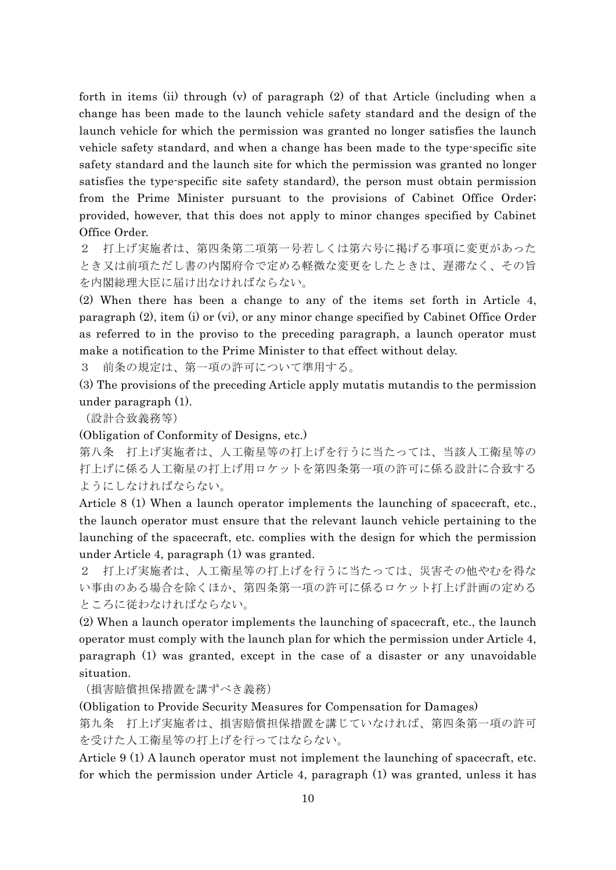forth in items (ii) through (v) of paragraph (2) of that Article (including when a change has been made to the launch vehicle safety standard and the design of the launch vehicle for which the permission was granted no longer satisfies the launch vehicle safety standard, and when a change has been made to the type-specific site safety standard and the launch site for which the permission was granted no longer satisfies the type-specific site safety standard), the person must obtain permission from the Prime Minister pursuant to the provisions of Cabinet Office Order; provided, however, that this does not apply to minor changes specified by Cabinet Office Order.

2 打上げ実施者は、第四条第二項第一号若しくは第六号に掲げる事項に変更があった とき又は前項ただし書の内閣府令で定める軽微な変更をしたときは、遅滞なく、その旨 を内閣総理大臣に届け出なければならない。

(2) When there has been a change to any of the items set forth in Article 4, paragraph (2), item (i) or (vi), or any minor change specified by Cabinet Office Order as referred to in the proviso to the preceding paragraph, a launch operator must make a notification to the Prime Minister to that effect without delay.

3 前条の規定は、第一項の許可について準用する。

(3) The provisions of the preceding Article apply mutatis mutandis to the permission under paragraph (1).

(設計合致義務等)

(Obligation of Conformity of Designs, etc.)

第八条 打上げ実施者は、人工衛星等の打上げを行うに当たっては、当該人工衛星等の 打上げに係る人工衛星の打上げ用ロケットを第四条第一項の許可に係る設計に合致する ようにしなければならない。

Article 8 (1) When a launch operator implements the launching of spacecraft, etc., the launch operator must ensure that the relevant launch vehicle pertaining to the launching of the spacecraft, etc. complies with the design for which the permission under Article 4, paragraph (1) was granted.

2 打上げ実施者は、人工衛星等の打上げを行うに当たっては、災害その他やむを得な い事由のある場合を除くほか、第四条第一項の許可に係るロケット打上げ計画の定める ところに従わなければならない。

(2) When a launch operator implements the launching of spacecraft, etc., the launch operator must comply with the launch plan for which the permission under Article 4, paragraph (1) was granted, except in the case of a disaster or any unavoidable situation.

(損害賠償担保措置を講ずべき義務)

(Obligation to Provide Security Measures for Compensation for Damages)

第九条 打上げ実施者は、損害賠償担保措置を講じていなければ、第四条第一項の許可 を受けた人工衛星等の打上げを行ってはならない。

Article 9 (1) A launch operator must not implement the launching of spacecraft, etc. for which the permission under Article 4, paragraph (1) was granted, unless it has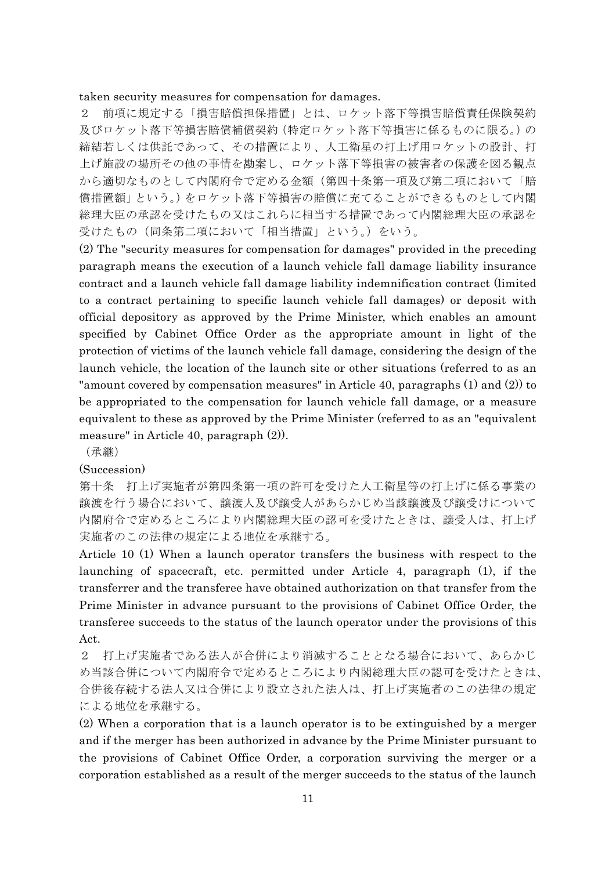#### taken security measures for compensation for damages.

2 前項に規定する「損害賠償担保措置」とは、ロケット落下等損害賠償責任保険契約 及びロケット落下等損害賠償補償契約(特定ロケット落下等損害に係るものに限る。)の 締結若しくは供託であって、その措置により、人工衛星の打上げ用ロケットの設計、打 上げ施設の場所その他の事情を勘案し、ロケット落下等損害の被害者の保護を図る観点 から適切なものとして内閣府令で定める金額(第四十条第一項及び第二項において「賠 償措置額」という。)をロケット落下等損害の賠償に充てることができるものとして内閣 総理大臣の承認を受けたもの又はこれらに相当する措置であって内閣総理大臣の承認を 受けたもの(同条第二項において「相当措置」という。)をいう。

(2) The "security measures for compensation for damages" provided in the preceding paragraph means the execution of a launch vehicle fall damage liability insurance contract and a launch vehicle fall damage liability indemnification contract (limited to a contract pertaining to specific launch vehicle fall damages) or deposit with official depository as approved by the Prime Minister, which enables an amount specified by Cabinet Office Order as the appropriate amount in light of the protection of victims of the launch vehicle fall damage, considering the design of the launch vehicle, the location of the launch site or other situations (referred to as an "amount covered by compensation measures" in Article 40, paragraphs (1) and (2)) to be appropriated to the compensation for launch vehicle fall damage, or a measure equivalent to these as approved by the Prime Minister (referred to as an "equivalent measure" in Article 40, paragraph (2)).

(承継)

#### (Succession)

第十条 打上げ実施者が第四条第一項の許可を受けた人工衛星等の打上げに係る事業の 譲渡を行う場合において、譲渡人及び譲受人があらかじめ当該譲渡及び譲受けについて 内閣府令で定めるところにより内閣総理大臣の認可を受けたときは、譲受人は、打上げ 実施者のこの法律の規定による地位を承継する。

Article 10 (1) When a launch operator transfers the business with respect to the launching of spacecraft, etc. permitted under Article 4, paragraph (1), if the transferrer and the transferee have obtained authorization on that transfer from the Prime Minister in advance pursuant to the provisions of Cabinet Office Order, the transferee succeeds to the status of the launch operator under the provisions of this Act.

2 打上げ実施者である法人が合併により消滅することとなる場合において、あらかじ め当該合併について内閣府令で定めるところにより内閣総理大臣の認可を受けたときは、 合併後存続する法人又は合併により設立された法人は、打上げ実施者のこの法律の規定 による地位を承継する。

(2) When a corporation that is a launch operator is to be extinguished by a merger and if the merger has been authorized in advance by the Prime Minister pursuant to the provisions of Cabinet Office Order, a corporation surviving the merger or a corporation established as a result of the merger succeeds to the status of the launch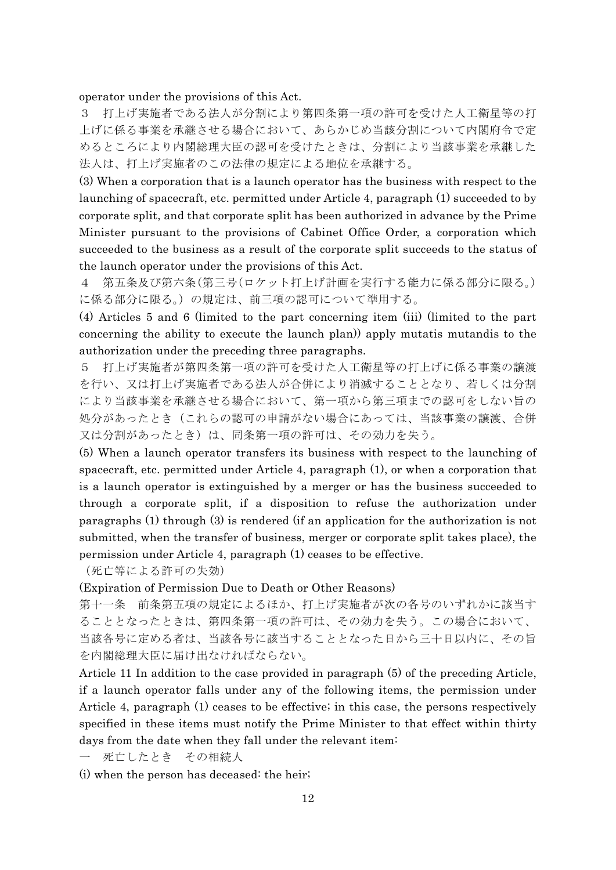operator under the provisions of this Act.

3 打上げ実施者である法人が分割により第四条第一項の許可を受けた人工衛星等の打 上げに係る事業を承継させる場合において、あらかじめ当該分割について内閣府令で定 めるところにより内閣総理大臣の認可を受けたときは、分割により当該事業を承継した 法人は、打上げ実施者のこの法律の規定による地位を承継する。

(3) When a corporation that is a launch operator has the business with respect to the launching of spacecraft, etc. permitted under Article 4, paragraph (1) succeeded to by corporate split, and that corporate split has been authorized in advance by the Prime Minister pursuant to the provisions of Cabinet Office Order, a corporation which succeeded to the business as a result of the corporate split succeeds to the status of the launch operator under the provisions of this Act.

4 第五条及び第六条(第三号(ロケット打上げ計画を実行する能力に係る部分に限る。) に係る部分に限る。)の規定は、前三項の認可について準用する。

(4) Articles 5 and 6 (limited to the part concerning item (iii) (limited to the part concerning the ability to execute the launch plan)) apply mutatis mutandis to the authorization under the preceding three paragraphs.

5 打上げ実施者が第四条第一項の許可を受けた人工衛星等の打上げに係る事業の譲渡 を行い、又は打上げ実施者である法人が合併により消滅することとなり、若しくは分割 により当該事業を承継させる場合において、第一項から第三項までの認可をしない旨の 処分があったとき(これらの認可の申請がない場合にあっては、当該事業の譲渡、合併 又は分割があったとき)は、同条第一項の許可は、その効力を失う。

(5) When a launch operator transfers its business with respect to the launching of spacecraft, etc. permitted under Article 4, paragraph (1), or when a corporation that is a launch operator is extinguished by a merger or has the business succeeded to through a corporate split, if a disposition to refuse the authorization under paragraphs (1) through (3) is rendered (if an application for the authorization is not submitted, when the transfer of business, merger or corporate split takes place), the permission under Article 4, paragraph (1) ceases to be effective.

(死亡等による許可の失効)

(Expiration of Permission Due to Death or Other Reasons)

第十一条 前条第五項の規定によるほか、打上げ実施者が次の各号のいずれかに該当す ることとなったときは、第四条第一項の許可は、その効力を失う。この場合において、 当該各号に定める者は、当該各号に該当することとなった日から三十日以内に、その旨 を内閣総理大臣に届け出なければならない。

Article 11 In addition to the case provided in paragraph (5) of the preceding Article, if a launch operator falls under any of the following items, the permission under Article 4, paragraph (1) ceases to be effective; in this case, the persons respectively specified in these items must notify the Prime Minister to that effect within thirty days from the date when they fall under the relevant item:

一 死亡したとき その相続人

(i) when the person has deceased: the heir;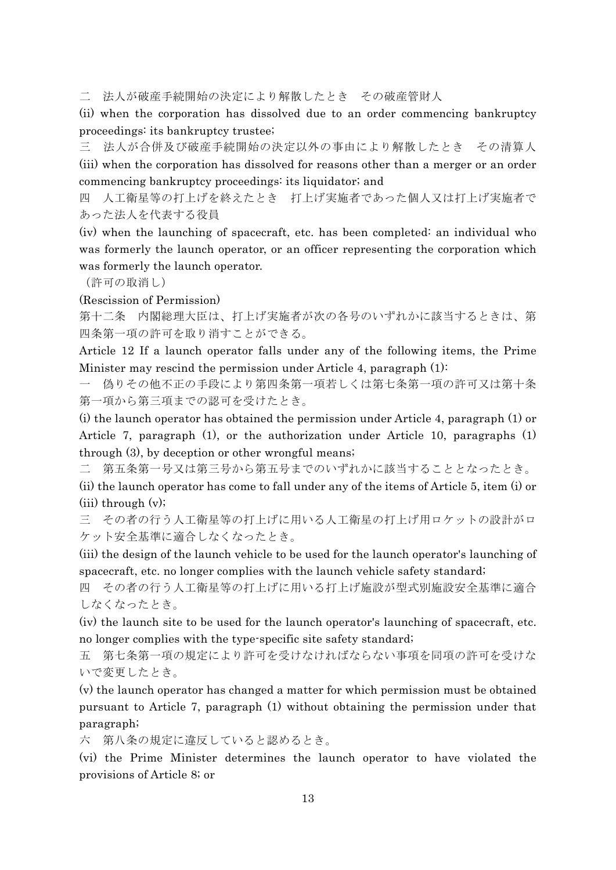二 法人が破産手続開始の決定により解散したとき その破産管財人

(ii) when the corporation has dissolved due to an order commencing bankruptcy proceedings: its bankruptcy trustee;

三 法人が合併及び破産手続開始の決定以外の事由により解散したとき その清算人 (iii) when the corporation has dissolved for reasons other than a merger or an order commencing bankruptcy proceedings: its liquidator; and

四 人工衛星等の打上げを終えたとき 打上げ実施者であった個人又は打上げ実施者で あった法人を代表する役員

(iv) when the launching of spacecraft, etc. has been completed: an individual who was formerly the launch operator, or an officer representing the corporation which was formerly the launch operator.

(許可の取消し)

(Rescission of Permission)

第十二条 内閣総理大臣は、打上げ実施者が次の各号のいずれかに該当するときは、第 四条第一項の許可を取り消すことができる。

Article 12 If a launch operator falls under any of the following items, the Prime Minister may rescind the permission under Article 4, paragraph (1):

一 偽りその他不正の手段により第四条第一項若しくは第七条第一項の許可又は第十条 第一項から第三項までの認可を受けたとき。

(i) the launch operator has obtained the permission under Article 4, paragraph (1) or Article 7, paragraph (1), or the authorization under Article 10, paragraphs (1) through (3), by deception or other wrongful means;

二 第五条第一号又は第三号から第五号までのいずれかに該当することとなったとき。

(ii) the launch operator has come to fall under any of the items of Article 5, item (i) or  $(iii)$  through  $(v)$ ;

三 その者の行う人工衛星等の打上げに用いる人工衛星の打上げ用ロケットの設計がロ ケット安全基準に適合しなくなったとき。

(iii) the design of the launch vehicle to be used for the launch operator's launching of spacecraft, etc. no longer complies with the launch vehicle safety standard;

四 その者の行う人工衛星等の打上げに用いる打上げ施設が型式別施設安全基準に適合 しなくなったとき。

(iv) the launch site to be used for the launch operator's launching of spacecraft, etc. no longer complies with the type-specific site safety standard;

五 第七条第一項の規定により許可を受けなければならない事項を同項の許可を受けな いで変更したとき。

(v) the launch operator has changed a matter for which permission must be obtained pursuant to Article 7, paragraph (1) without obtaining the permission under that paragraph;

六 第八条の規定に違反していると認めるとき。

(vi) the Prime Minister determines the launch operator to have violated the provisions of Article 8; or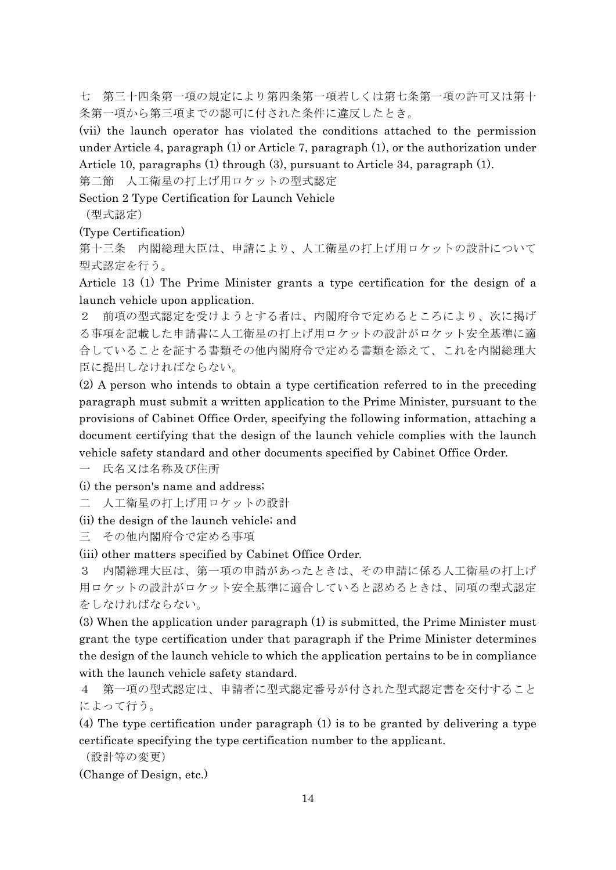七 第三十四条第一項の規定により第四条第一項若しくは第七条第一項の許可又は第十 条第一項から第三項までの認可に付された条件に違反したとき。

(vii) the launch operator has violated the conditions attached to the permission under Article 4, paragraph (1) or Article 7, paragraph (1), or the authorization under Article 10, paragraphs (1) through (3), pursuant to Article 34, paragraph (1).

第二節 人工衛星の打上げ用ロケットの型式認定

Section 2 Type Certification for Launch Vehicle

(型式認定)

(Type Certification)

第十三条 内閣総理大臣は、申請により、人工衛星の打上げ用ロケットの設計について 型式認定を行う。

Article 13 (1) The Prime Minister grants a type certification for the design of a launch vehicle upon application.

2 前項の型式認定を受けようとする者は、内閣府令で定めるところにより、次に掲げ る事項を記載した申請書に人工衛星の打上げ用ロケットの設計がロケット安全基準に適 合していることを証する書類その他内閣府令で定める書類を添えて、これを内閣総理大 臣に提出しなければならない。

(2) A person who intends to obtain a type certification referred to in the preceding paragraph must submit a written application to the Prime Minister, pursuant to the provisions of Cabinet Office Order, specifying the following information, attaching a document certifying that the design of the launch vehicle complies with the launch vehicle safety standard and other documents specified by Cabinet Office Order.

一 氏名又は名称及び住所

(i) the person's name and address;

二 人工衛星の打上げ用ロケットの設計

(ii) the design of the launch vehicle; and

三 その他内閣府令で定める事項

(iii) other matters specified by Cabinet Office Order.

3 内閣総理大臣は、第一項の申請があったときは、その申請に係る人工衛星の打上げ 用ロケットの設計がロケット安全基準に適合していると認めるときは、同項の型式認定 をしなければならない。

(3) When the application under paragraph (1) is submitted, the Prime Minister must grant the type certification under that paragraph if the Prime Minister determines the design of the launch vehicle to which the application pertains to be in compliance with the launch vehicle safety standard.

4 第一項の型式認定は、申請者に型式認定番号が付された型式認定書を交付すること によって行う。

(4) The type certification under paragraph (1) is to be granted by delivering a type certificate specifying the type certification number to the applicant.

(設計等の変更)

(Change of Design, etc.)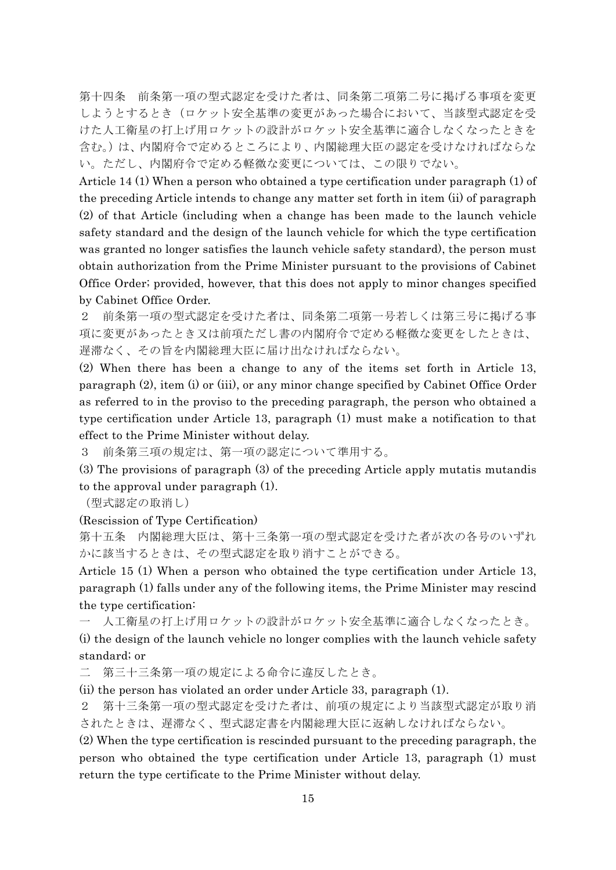第十四条 前条第一項の型式認定を受けた者は、同条第二項第二号に掲げる事項を変更 しようとするとき(ロケット安全基準の変更があった場合において、当該型式認定を受 けた人工衛星の打上げ用ロケットの設計がロケット安全基準に適合しなくなったときを 含む。)は、内閣府令で定めるところにより、内閣総理大臣の認定を受けなければならな い。ただし、内閣府令で定める軽微な変更については、この限りでない。

Article 14 (1) When a person who obtained a type certification under paragraph (1) of the preceding Article intends to change any matter set forth in item (ii) of paragraph (2) of that Article (including when a change has been made to the launch vehicle safety standard and the design of the launch vehicle for which the type certification was granted no longer satisfies the launch vehicle safety standard), the person must obtain authorization from the Prime Minister pursuant to the provisions of Cabinet Office Order; provided, however, that this does not apply to minor changes specified by Cabinet Office Order.

2 前条第一項の型式認定を受けた者は、同条第二項第一号若しくは第三号に掲げる事 項に変更があったとき又は前項ただし書の内閣府令で定める軽微な変更をしたときは、 遅滞なく、その旨を内閣総理大臣に届け出なければならない。

(2) When there has been a change to any of the items set forth in Article 13, paragraph (2), item (i) or (iii), or any minor change specified by Cabinet Office Order as referred to in the proviso to the preceding paragraph, the person who obtained a type certification under Article 13, paragraph (1) must make a notification to that effect to the Prime Minister without delay.

3 前条第三項の規定は、第一項の認定について準用する。

(3) The provisions of paragraph (3) of the preceding Article apply mutatis mutandis to the approval under paragraph (1).

(型式認定の取消し)

#### (Rescission of Type Certification)

第十五条 内閣総理大臣は、第十三条第一項の型式認定を受けた者が次の各号のいずれ かに該当するときは、その型式認定を取り消すことができる。

Article 15 (1) When a person who obtained the type certification under Article 13, paragraph (1) falls under any of the following items, the Prime Minister may rescind the type certification:

一 人工衛星の打上げ用ロケットの設計がロケット安全基準に適合しなくなったとき。

(i) the design of the launch vehicle no longer complies with the launch vehicle safety standard; or

二 第三十三条第一項の規定による命令に違反したとき。

(ii) the person has violated an order under Article 33, paragraph (1).

2 第十三条第一項の型式認定を受けた者は、前項の規定により当該型式認定が取り消 されたときは、遅滞なく、型式認定書を内閣総理大臣に返納しなければならない。

(2) When the type certification is rescinded pursuant to the preceding paragraph, the person who obtained the type certification under Article 13, paragraph (1) must return the type certificate to the Prime Minister without delay.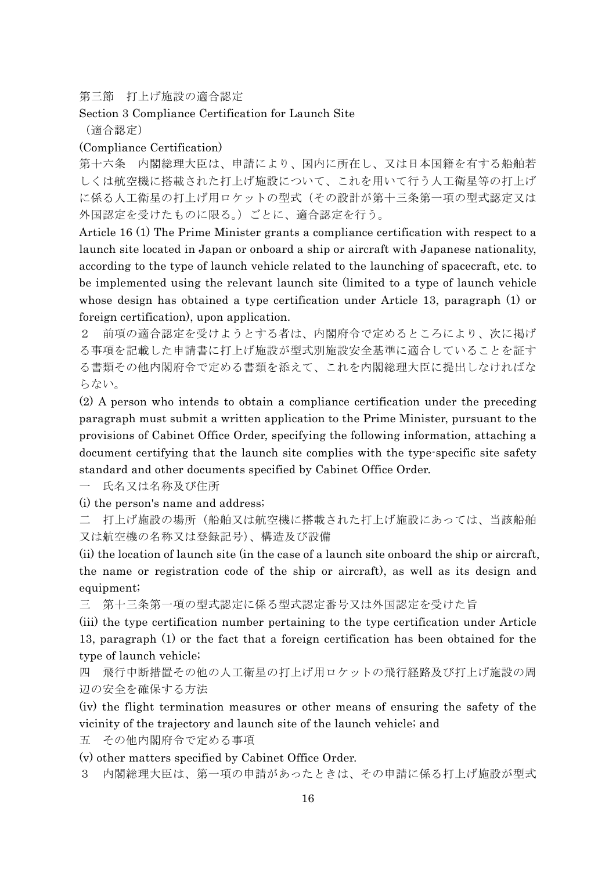第三節 打上げ施設の適合認定

# Section 3 Compliance Certification for Launch Site (適合認定)

# (Compliance Certification)

第十六条 内閣総理大臣は、申請により、国内に所在し、又は日本国籍を有する船舶若 しくは航空機に搭載された打上げ施設について、これを用いて行う人工衛星等の打上げ に係る人工衛星の打上げ用ロケットの型式(その設計が第十三条第一項の型式認定又は 外国認定を受けたものに限る。)ごとに、適合認定を行う。

Article 16 (1) The Prime Minister grants a compliance certification with respect to a launch site located in Japan or onboard a ship or aircraft with Japanese nationality, according to the type of launch vehicle related to the launching of spacecraft, etc. to be implemented using the relevant launch site (limited to a type of launch vehicle whose design has obtained a type certification under Article 13, paragraph (1) or foreign certification), upon application.

2 前項の適合認定を受けようとする者は、内閣府令で定めるところにより、次に掲げ る事項を記載した申請書に打上げ施設が型式別施設安全基準に適合していることを証す る書類その他内閣府令で定める書類を添えて、これを内閣総理大臣に提出しなければな らない。

(2) A person who intends to obtain a compliance certification under the preceding paragraph must submit a written application to the Prime Minister, pursuant to the provisions of Cabinet Office Order, specifying the following information, attaching a document certifying that the launch site complies with the type-specific site safety standard and other documents specified by Cabinet Office Order.

氏名又は名称及び住所

(i) the person's name and address;

二 打上げ施設の場所(船舶又は航空機に搭載された打上げ施設にあっては、当該船舶 又は航空機の名称又は登録記号)、構造及び設備

(ii) the location of launch site (in the case of a launch site onboard the ship or aircraft, the name or registration code of the ship or aircraft), as well as its design and equipment;

三 第十三条第一項の型式認定に係る型式認定番号又は外国認定を受けた旨

(iii) the type certification number pertaining to the type certification under Article 13, paragraph (1) or the fact that a foreign certification has been obtained for the type of launch vehicle;

四 飛行中断措置その他の人工衛星の打上げ用ロケットの飛行経路及び打上げ施設の周 辺の安全を確保する方法

(iv) the flight termination measures or other means of ensuring the safety of the vicinity of the trajectory and launch site of the launch vehicle; and

五 その他内閣府令で定める事項

(v) other matters specified by Cabinet Office Order.

3 内閣総理大臣は、第一項の申請があったときは、その申請に係る打上げ施設が型式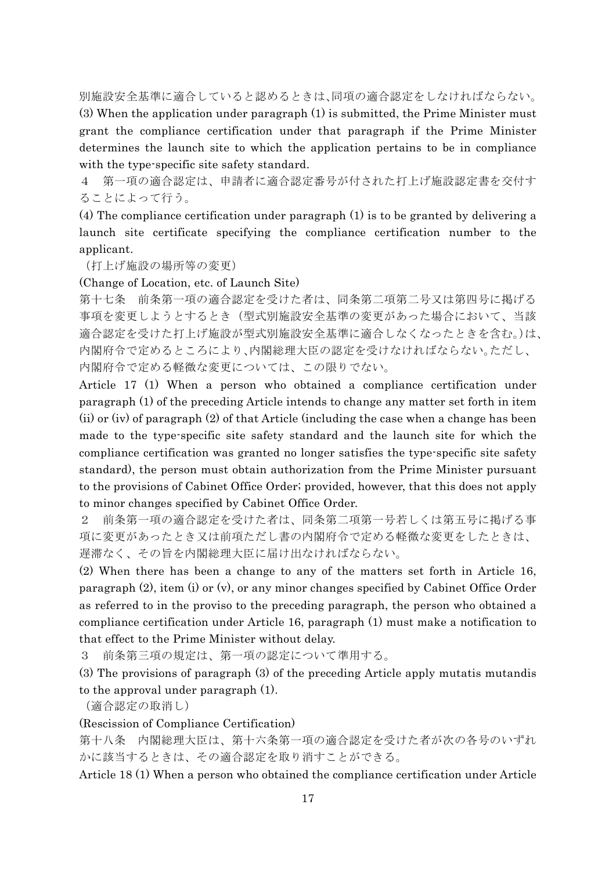別施設安全基準に適合していると認めるときは、同項の適合認定をしなければならない。 (3) When the application under paragraph (1) is submitted, the Prime Minister must grant the compliance certification under that paragraph if the Prime Minister determines the launch site to which the application pertains to be in compliance with the type-specific site safety standard.

4 第一項の適合認定は、申請者に適合認定番号が付された打上げ施設認定書を交付す ることによって行う。

(4) The compliance certification under paragraph (1) is to be granted by delivering a launch site certificate specifying the compliance certification number to the applicant.

(打上げ施設の場所等の変更)

(Change of Location, etc. of Launch Site)

第十七条 前条第一項の適合認定を受けた者は、同条第二項第二号又は第四号に掲げる 事項を変更しようとするとき(型式別施設安全基準の変更があった場合において、当該 適合認定を受けた打上げ施設が型式別施設安全基準に適合しなくなったときを含む。)は、 内閣府令で定めるところにより、内閣総理大臣の認定を受けなければならない。ただし、 内閣府令で定める軽微な変更については、この限りでない。

Article 17 (1) When a person who obtained a compliance certification under paragraph (1) of the preceding Article intends to change any matter set forth in item (ii) or (iv) of paragraph (2) of that Article (including the case when a change has been made to the type-specific site safety standard and the launch site for which the compliance certification was granted no longer satisfies the type-specific site safety standard), the person must obtain authorization from the Prime Minister pursuant to the provisions of Cabinet Office Order; provided, however, that this does not apply to minor changes specified by Cabinet Office Order.

2 前条第一項の適合認定を受けた者は、同条第二項第一号若しくは第五号に掲げる事 項に変更があったとき又は前項ただし書の内閣府令で定める軽微な変更をしたときは、 遅滞なく、その旨を内閣総理大臣に届け出なければならない。

(2) When there has been a change to any of the matters set forth in Article 16, paragraph (2), item (i) or (v), or any minor changes specified by Cabinet Office Order as referred to in the proviso to the preceding paragraph, the person who obtained a compliance certification under Article 16, paragraph (1) must make a notification to that effect to the Prime Minister without delay.

3 前条第三項の規定は、第一項の認定について準用する。

(3) The provisions of paragraph (3) of the preceding Article apply mutatis mutandis to the approval under paragraph (1).

(適合認定の取消し)

(Rescission of Compliance Certification)

第十八条 内閣総理大臣は、第十六条第一項の適合認定を受けた者が次の各号のいずれ かに該当するときは、その適合認定を取り消すことができる。

Article 18 (1) When a person who obtained the compliance certification under Article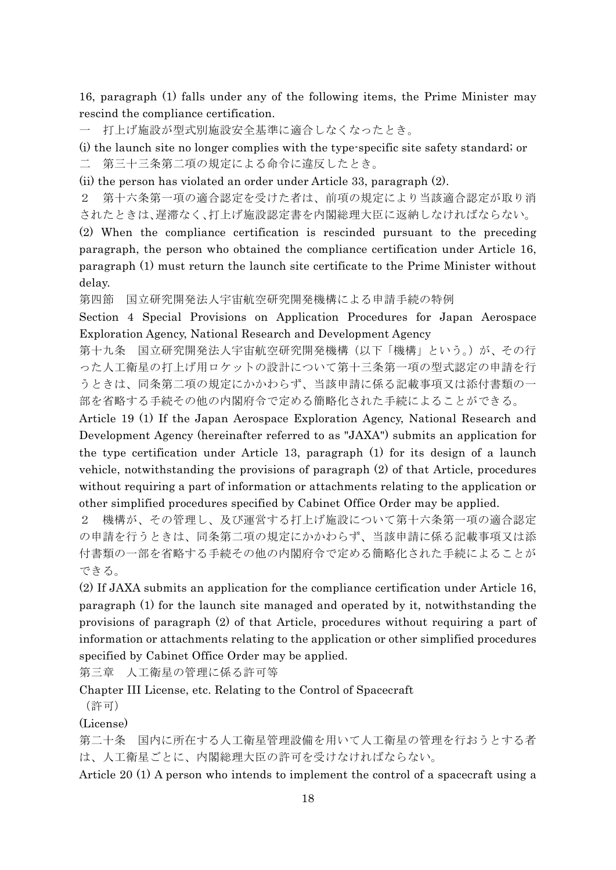16, paragraph (1) falls under any of the following items, the Prime Minister may rescind the compliance certification.

一 打上げ施設が型式別施設安全基準に適合しなくなったとき。

(i) the launch site no longer complies with the type-specific site safety standard; or 二 第三十三条第二項の規定による命令に違反したとき。

(ii) the person has violated an order under Article 33, paragraph (2).

2 第十六条第一項の適合認定を受けた者は、前項の規定により当該適合認定が取り消 されたときは、遅滞なく、打上げ施設認定書を内閣総理大臣に返納しなければならない。

(2) When the compliance certification is rescinded pursuant to the preceding paragraph, the person who obtained the compliance certification under Article 16, paragraph (1) must return the launch site certificate to the Prime Minister without delay.

第四節 国立研究開発法人宇宙航空研究開発機構による申請手続の特例

Section 4 Special Provisions on Application Procedures for Japan Aerospace Exploration Agency, National Research and Development Agency

第十九条 国立研究開発法人宇宙航空研究開発機構(以下「機構」という。)が、その行 った人工衛星の打上げ用ロケットの設計について第十三条第一項の型式認定の申請を行 うときは、同条第二項の規定にかかわらず、当該申請に係る記載事項又は添付書類の一 部を省略する手続その他の内閣府令で定める簡略化された手続によることができる。

Article 19 (1) If the Japan Aerospace Exploration Agency, National Research and Development Agency (hereinafter referred to as "JAXA") submits an application for the type certification under Article 13, paragraph (1) for its design of a launch vehicle, notwithstanding the provisions of paragraph (2) of that Article, procedures without requiring a part of information or attachments relating to the application or other simplified procedures specified by Cabinet Office Order may be applied.

2 機構が、その管理し、及び運営する打上げ施設について第十六条第一項の適合認定 の申請を行うときは、同条第二項の規定にかかわらず、当該申請に係る記載事項又は添 付書類の一部を省略する手続その他の内閣府令で定める簡略化された手続によることが できる。

(2) If JAXA submits an application for the compliance certification under Article 16, paragraph (1) for the launch site managed and operated by it, notwithstanding the provisions of paragraph (2) of that Article, procedures without requiring a part of information or attachments relating to the application or other simplified procedures specified by Cabinet Office Order may be applied.

第三章 人工衛星の管理に係る許可等

Chapter III License, etc. Relating to the Control of Spacecraft

(許可)

(License)

第二十条 国内に所在する人工衛星管理設備を用いて人工衛星の管理を行おうとする者 は、人工衛星ごとに、内閣総理大臣の許可を受けなければならない。

Article 20 (1) A person who intends to implement the control of a spacecraft using a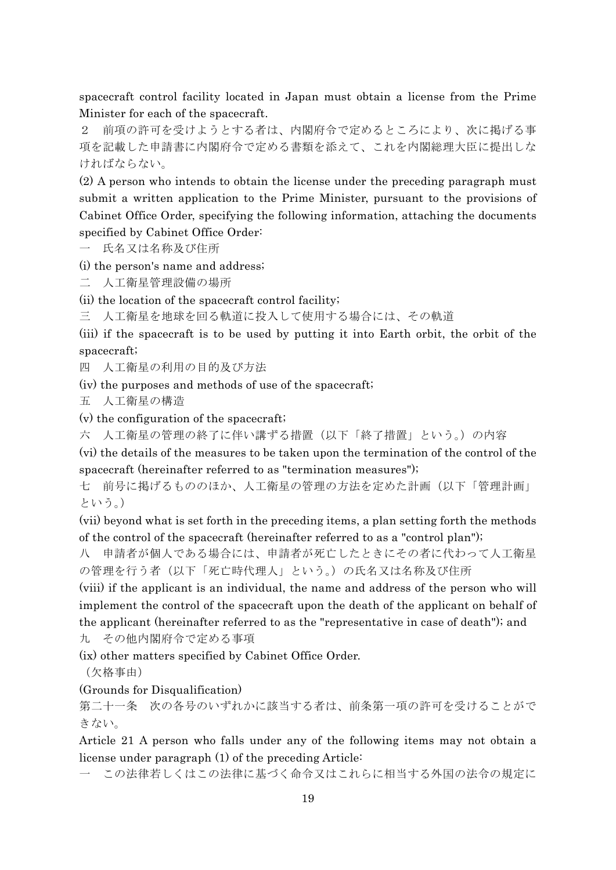spacecraft control facility located in Japan must obtain a license from the Prime Minister for each of the spacecraft.

前項の許可を受けようとする者は、内閣府令で定めるところにより、次に掲げる事 項を記載した申請書に内閣府令で定める書類を添えて、これを内閣総理大臣に提出しな ければならない。

(2) A person who intends to obtain the license under the preceding paragraph must submit a written application to the Prime Minister, pursuant to the provisions of Cabinet Office Order, specifying the following information, attaching the documents specified by Cabinet Office Order:

一 氏名又は名称及び住所

(i) the person's name and address;

二 人工衛星管理設備の場所

(ii) the location of the spacecraft control facility;

三 人工衛星を地球を回る軌道に投入して使用する場合には、その軌道

(iii) if the spacecraft is to be used by putting it into Earth orbit, the orbit of the spacecraft;

四 人工衛星の利用の目的及び方法

(iv) the purposes and methods of use of the spacecraft;

五 人工衛星の構造

(v) the configuration of the spacecraft;

六 人工衛星の管理の終了に伴い講ずる措置(以下「終了措置」という。)の内容

(vi) the details of the measures to be taken upon the termination of the control of the spacecraft (hereinafter referred to as "termination measures");

七 前号に掲げるもののほか、人工衛星の管理の方法を定めた計画(以下「管理計画」 という。)

(vii) beyond what is set forth in the preceding items, a plan setting forth the methods of the control of the spacecraft (hereinafter referred to as a "control plan");

八 申請者が個人である場合には、申請者が死亡したときにその者に代わって人工衛星 の管理を行う者(以下「死亡時代理人」という。)の氏名又は名称及び住所

(viii) if the applicant is an individual, the name and address of the person who will implement the control of the spacecraft upon the death of the applicant on behalf of the applicant (hereinafter referred to as the "representative in case of death"); and 九 その他内閣府令で定める事項

(ix) other matters specified by Cabinet Office Order.

(欠格事由)

# (Grounds for Disqualification)

第二十一条 次の各号のいずれかに該当する者は、前条第一項の許可を受けることがで きない。

Article 21 A person who falls under any of the following items may not obtain a license under paragraph (1) of the preceding Article:

一 この法律若しくはこの法律に基づく命令又はこれらに相当する外国の法令の規定に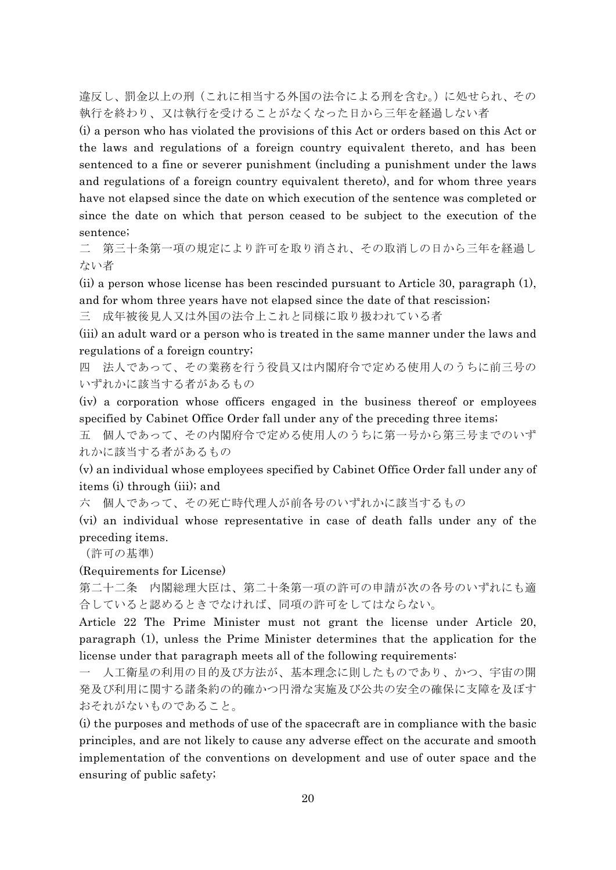違反し、罰金以上の刑(これに相当する外国の法令による刑を含む。)に処せられ、その 執行を終わり、又は執行を受けることがなくなった日から三年を経過しない者

(i) a person who has violated the provisions of this Act or orders based on this Act or the laws and regulations of a foreign country equivalent thereto, and has been sentenced to a fine or severer punishment (including a punishment under the laws and regulations of a foreign country equivalent thereto), and for whom three years have not elapsed since the date on which execution of the sentence was completed or since the date on which that person ceased to be subject to the execution of the sentence;

二 第三十条第一項の規定により許可を取り消され、その取消しの日から三年を経過し ない者

(ii) a person whose license has been rescinded pursuant to Article 30, paragraph (1), and for whom three years have not elapsed since the date of that rescission;

三 成年被後見人又は外国の法令上これと同様に取り扱われている者

(iii) an adult ward or a person who is treated in the same manner under the laws and regulations of a foreign country;

四 法人であって、その業務を行う役員又は内閣府令で定める使用人のうちに前三号の いずれかに該当する者があるもの

(iv) a corporation whose officers engaged in the business thereof or employees specified by Cabinet Office Order fall under any of the preceding three items;

五 個人であって、その内閣府令で定める使用人のうちに第一号から第三号までのいず れかに該当する者があるもの

(v) an individual whose employees specified by Cabinet Office Order fall under any of items (i) through (iii); and

六 個人であって、その死亡時代理人が前各号のいずれかに該当するもの

(vi) an individual whose representative in case of death falls under any of the preceding items.

(許可の基準)

(Requirements for License)

第二十二条 内閣総理大臣は、第二十条第一項の許可の申請が次の各号のいずれにも適 合していると認めるときでなければ、同項の許可をしてはならない。

Article 22 The Prime Minister must not grant the license under Article 20, paragraph (1), unless the Prime Minister determines that the application for the license under that paragraph meets all of the following requirements:

一 人工衛星の利用の目的及び方法が、基本理念に則したものであり、かつ、宇宙の開 発及び利用に関する諸条約の的確かつ円滑な実施及び公共の安全の確保に支障を及ぼす おそれがないものであること。

(i) the purposes and methods of use of the spacecraft are in compliance with the basic principles, and are not likely to cause any adverse effect on the accurate and smooth implementation of the conventions on development and use of outer space and the ensuring of public safety;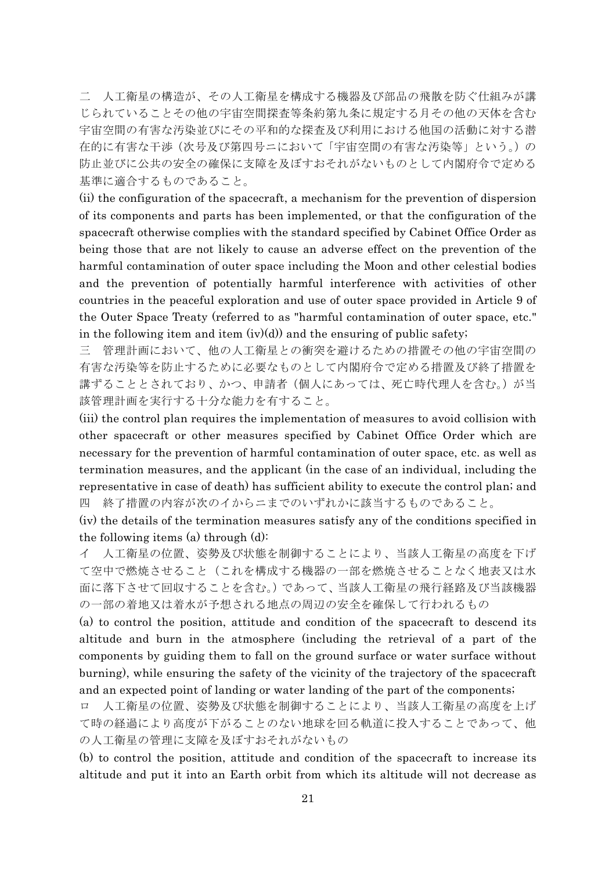二 人工衛星の構造が、その人工衛星を構成する機器及び部品の飛散を防ぐ仕組みが講 じられていることその他の宇宙空間探査等条約第九条に規定する月その他の天体を含む 宇宙空間の有害な汚染並びにその平和的な探査及び利用における他国の活動に対する潜 在的に有害な干渉(次号及び第四号ニにおいて「宇宙空間の有害な汚染等」という。)の 防止並びに公共の安全の確保に支障を及ぼすおそれがないものとして内閣府令で定める 基準に適合するものであること。

(ii) the configuration of the spacecraft, a mechanism for the prevention of dispersion of its components and parts has been implemented, or that the configuration of the spacecraft otherwise complies with the standard specified by Cabinet Office Order as being those that are not likely to cause an adverse effect on the prevention of the harmful contamination of outer space including the Moon and other celestial bodies and the prevention of potentially harmful interference with activities of other countries in the peaceful exploration and use of outer space provided in Article 9 of the Outer Space Treaty (referred to as "harmful contamination of outer space, etc." in the following item and item  $(iv)(d)$  and the ensuring of public safety;

三 管理計画において、他の人工衛星との衝突を避けるための措置その他の宇宙空間の 有害な汚染等を防止するために必要なものとして内閣府令で定める措置及び終了措置を 講ずることとされており、かつ、申請者(個人にあっては、死亡時代理人を含む。)が当 該管理計画を実行する十分な能力を有すること。

(iii) the control plan requires the implementation of measures to avoid collision with other spacecraft or other measures specified by Cabinet Office Order which are necessary for the prevention of harmful contamination of outer space, etc. as well as termination measures, and the applicant (in the case of an individual, including the representative in case of death) has sufficient ability to execute the control plan; and 四 終了措置の内容が次のイからニまでのいずれかに該当するものであること。

(iv) the details of the termination measures satisfy any of the conditions specified in the following items (a) through (d):

イ 人工衛星の位置、姿勢及び状態を制御することにより、当該人工衛星の高度を下げ て空中で燃焼させること(これを構成する機器の一部を燃焼させることなく地表又は水 面に落下させて回収することを含む。)であって、当該人工衛星の飛行経路及び当該機器 の一部の着地又は着水が予想される地点の周辺の安全を確保して行われるもの

(a) to control the position, attitude and condition of the spacecraft to descend its altitude and burn in the atmosphere (including the retrieval of a part of the components by guiding them to fall on the ground surface or water surface without burning), while ensuring the safety of the vicinity of the trajectory of the spacecraft and an expected point of landing or water landing of the part of the components;

ロ 人工衛星の位置、姿勢及び状態を制御することにより、当該人工衛星の高度を上げ て時の経過により高度が下がることのない地球を回る軌道に投入することであって、他 の人工衛星の管理に支障を及ぼすおそれがないもの

(b) to control the position, attitude and condition of the spacecraft to increase its altitude and put it into an Earth orbit from which its altitude will not decrease as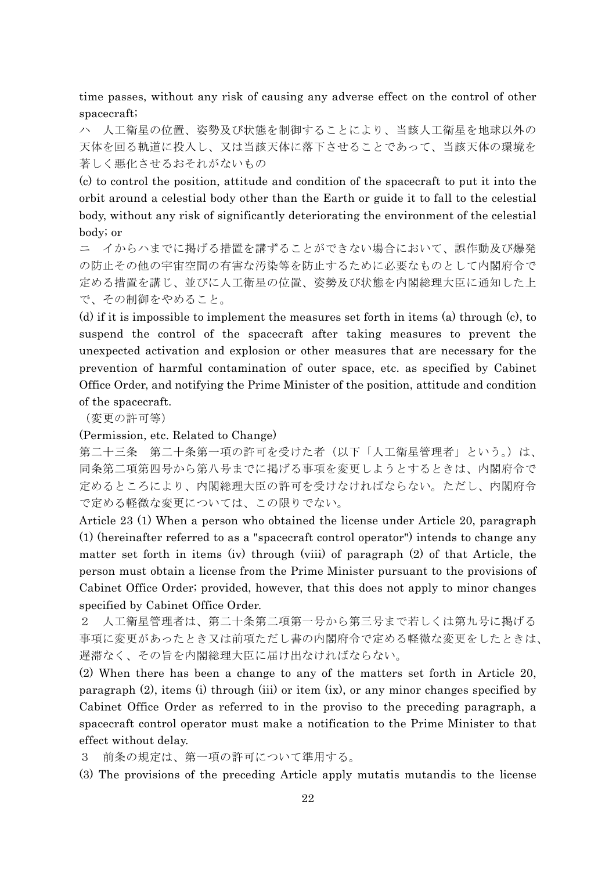time passes, without any risk of causing any adverse effect on the control of other spacecraft;

ハ 人工衛星の位置、姿勢及び状態を制御することにより、当該人工衛星を地球以外の 天体を回る軌道に投入し、又は当該天体に落下させることであって、当該天体の環境を 著しく悪化させるおそれがないもの

(c) to control the position, attitude and condition of the spacecraft to put it into the orbit around a celestial body other than the Earth or guide it to fall to the celestial body, without any risk of significantly deteriorating the environment of the celestial body; or

ニ イからハまでに掲げる措置を講ずることができない場合において、誤作動及び爆発 の防止その他の宇宙空間の有害な汚染等を防止するために必要なものとして内閣府令で 定める措置を講じ、並びに人工衛星の位置、姿勢及び状態を内閣総理大臣に通知した上 で、その制御をやめること。

(d) if it is impossible to implement the measures set forth in items (a) through (c), to suspend the control of the spacecraft after taking measures to prevent the unexpected activation and explosion or other measures that are necessary for the prevention of harmful contamination of outer space, etc. as specified by Cabinet Office Order, and notifying the Prime Minister of the position, attitude and condition of the spacecraft.

(変更の許可等)

#### (Permission, etc. Related to Change)

第二十三条 第二十条第一項の許可を受けた者(以下「人工衛星管理者」という。)は、 同条第二項第四号から第八号までに掲げる事項を変更しようとするときは、内閣府令で 定めるところにより、内閣総理大臣の許可を受けなければならない。ただし、内閣府令 で定める軽微な変更については、この限りでない。

Article 23 (1) When a person who obtained the license under Article 20, paragraph (1) (hereinafter referred to as a "spacecraft control operator") intends to change any matter set forth in items (iv) through (viii) of paragraph (2) of that Article, the person must obtain a license from the Prime Minister pursuant to the provisions of Cabinet Office Order; provided, however, that this does not apply to minor changes specified by Cabinet Office Order.

2 人工衛星管理者は、第二十条第二項第一号から第三号まで若しくは第九号に掲げる 事項に変更があったとき又は前項ただし書の内閣府令で定める軽微な変更をしたときは、 遅滞なく、その旨を内閣総理大臣に届け出なければならない。

(2) When there has been a change to any of the matters set forth in Article 20, paragraph (2), items (i) through (iii) or item (ix), or any minor changes specified by Cabinet Office Order as referred to in the proviso to the preceding paragraph, a spacecraft control operator must make a notification to the Prime Minister to that effect without delay.

3 前条の規定は、第一項の許可について準用する。

(3) The provisions of the preceding Article apply mutatis mutandis to the license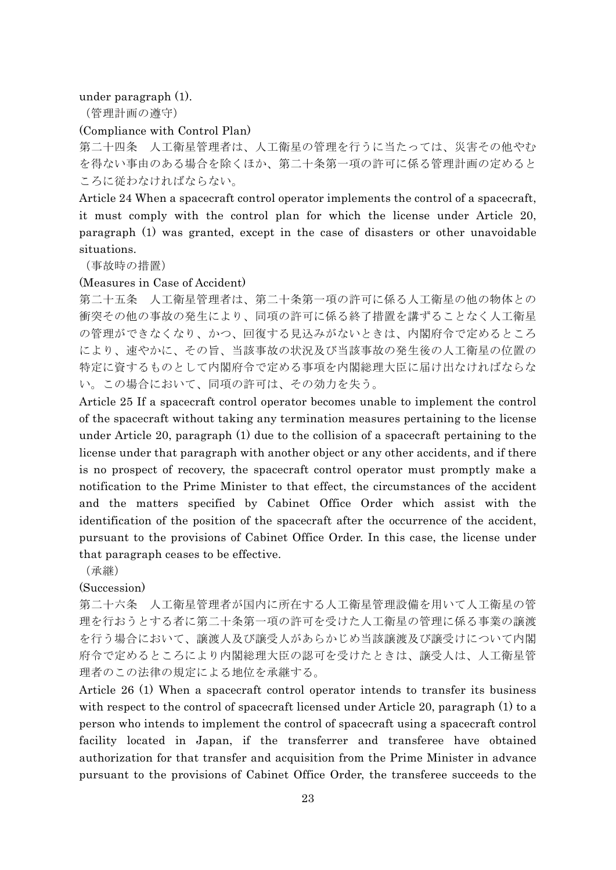under paragraph (1).

(管理計画の遵守)

### (Compliance with Control Plan)

第二十四条 人工衛星管理者は、人工衛星の管理を行うに当たっては、災害その他やむ を得ない事由のある場合を除くほか、第二十条第一項の許可に係る管理計画の定めると ころに従わなければならない。

Article 24 When a spacecraft control operator implements the control of a spacecraft, it must comply with the control plan for which the license under Article 20, paragraph (1) was granted, except in the case of disasters or other unavoidable situations.

(事故時の措置)

#### (Measures in Case of Accident)

第二十五条 人工衛星管理者は、第二十条第一項の許可に係る人工衛星の他の物体との 衝突その他の事故の発生により、同項の許可に係る終了措置を講ずることなく人工衛星 の管理ができなくなり、かつ、回復する見込みがないときは、内閣府令で定めるところ により、速やかに、その旨、当該事故の状況及び当該事故の発生後の人工衛星の位置の 特定に資するものとして内閣府令で定める事項を内閣総理大臣に届け出なければならな い。この場合において、同項の許可は、その効力を失う。

Article 25 If a spacecraft control operator becomes unable to implement the control of the spacecraft without taking any termination measures pertaining to the license under Article 20, paragraph (1) due to the collision of a spacecraft pertaining to the license under that paragraph with another object or any other accidents, and if there is no prospect of recovery, the spacecraft control operator must promptly make a notification to the Prime Minister to that effect, the circumstances of the accident and the matters specified by Cabinet Office Order which assist with the identification of the position of the spacecraft after the occurrence of the accident, pursuant to the provisions of Cabinet Office Order. In this case, the license under that paragraph ceases to be effective.

(承継)

(Succession)

第二十六条 人工衛星管理者が国内に所在する人工衛星管理設備を用いて人工衛星の管 理を行おうとする者に第二十条第一項の許可を受けた人工衛星の管理に係る事業の譲渡 を行う場合において、譲渡人及び譲受人があらかじめ当該譲渡及び譲受けについて内閣 府令で定めるところにより内閣総理大臣の認可を受けたときは、譲受人は、人工衛星管 理者のこの法律の規定による地位を承継する。

Article 26 (1) When a spacecraft control operator intends to transfer its business with respect to the control of spacecraft licensed under Article 20, paragraph (1) to a person who intends to implement the control of spacecraft using a spacecraft control facility located in Japan, if the transferrer and transferee have obtained authorization for that transfer and acquisition from the Prime Minister in advance pursuant to the provisions of Cabinet Office Order, the transferee succeeds to the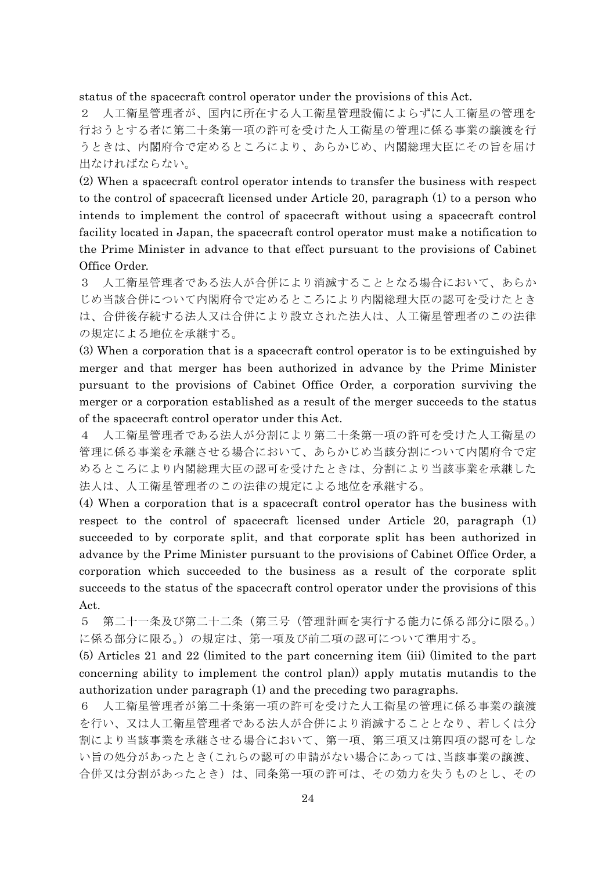status of the spacecraft control operator under the provisions of this Act.

2 人工衛星管理者が、国内に所在する人工衛星管理設備によらずに人工衛星の管理を 行おうとする者に第二十条第一項の許可を受けた人工衛星の管理に係る事業の譲渡を行 うときは、内閣府令で定めるところにより、あらかじめ、内閣総理大臣にその旨を届け 出なければならない。

(2) When a spacecraft control operator intends to transfer the business with respect to the control of spacecraft licensed under Article 20, paragraph (1) to a person who intends to implement the control of spacecraft without using a spacecraft control facility located in Japan, the spacecraft control operator must make a notification to the Prime Minister in advance to that effect pursuant to the provisions of Cabinet Office Order.

3 人工衛星管理者である法人が合併により消滅することとなる場合において、あらか じめ当該合併について内閣府令で定めるところにより内閣総理大臣の認可を受けたとき は、合併後存続する法人又は合併により設立された法人は、人工衛星管理者のこの法律 の規定による地位を承継する。

(3) When a corporation that is a spacecraft control operator is to be extinguished by merger and that merger has been authorized in advance by the Prime Minister pursuant to the provisions of Cabinet Office Order, a corporation surviving the merger or a corporation established as a result of the merger succeeds to the status of the spacecraft control operator under this Act.

4 人工衛星管理者である法人が分割により第二十条第一項の許可を受けた人工衛星の 管理に係る事業を承継させる場合において、あらかじめ当該分割について内閣府令で定 めるところにより内閣総理大臣の認可を受けたときは、分割により当該事業を承継した 法人は、人工衛星管理者のこの法律の規定による地位を承継する。

(4) When a corporation that is a spacecraft control operator has the business with respect to the control of spacecraft licensed under Article 20, paragraph (1) succeeded to by corporate split, and that corporate split has been authorized in advance by the Prime Minister pursuant to the provisions of Cabinet Office Order, a corporation which succeeded to the business as a result of the corporate split succeeds to the status of the spacecraft control operator under the provisions of this Act.

5 第二十一条及び第二十二条(第三号(管理計画を実行する能力に係る部分に限る。) に係る部分に限る。)の規定は、第一項及び前二項の認可について準用する。

(5) Articles 21 and 22 (limited to the part concerning item (iii) (limited to the part concerning ability to implement the control plan)) apply mutatis mutandis to the authorization under paragraph (1) and the preceding two paragraphs.

6 人工衛星管理者が第二十条第一項の許可を受けた人工衛星の管理に係る事業の譲渡 を行い、又は人工衛星管理者である法人が合併により消滅することとなり、若しくは分 割により当該事業を承継させる場合において、第一項、第三項又は第四項の認可をしな い旨の処分があったとき(これらの認可の申請がない場合にあっては、当該事業の譲渡、 合併又は分割があったとき)は、同条第一項の許可は、その効力を失うものとし、その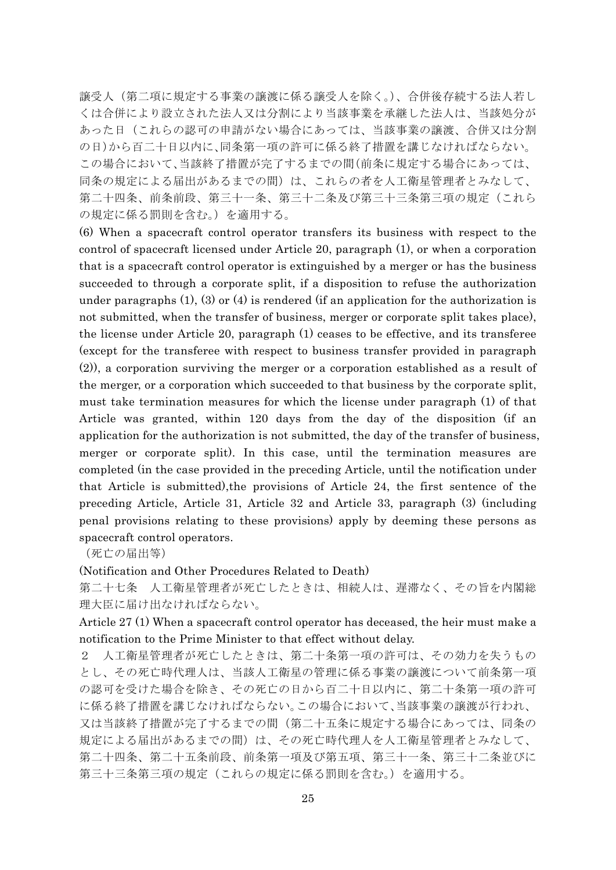譲受人(第二項に規定する事業の譲渡に係る譲受人を除く。)、合併後存続する法人若し くは合併により設立された法人又は分割により当該事業を承継した法人は、当該処分が あった日(これらの認可の申請がない場合にあっては、当該事業の譲渡、合併又は分割 の日)から百二十日以内に、同条第一項の許可に係る終了措置を講じなければならない。 この場合において、当該終了措置が完了するまでの間(前条に規定する場合にあっては、 同条の規定による届出があるまでの間)は、これらの者を人工衛星管理者とみなして、 第二十四条、前条前段、第三十一条、第三十二条及び第三十三条第三項の規定(これら の規定に係る罰則を含む。)を適用する。

(6) When a spacecraft control operator transfers its business with respect to the control of spacecraft licensed under Article 20, paragraph (1), or when a corporation that is a spacecraft control operator is extinguished by a merger or has the business succeeded to through a corporate split, if a disposition to refuse the authorization under paragraphs  $(1)$ ,  $(3)$  or  $(4)$  is rendered (if an application for the authorization is not submitted, when the transfer of business, merger or corporate split takes place), the license under Article 20, paragraph (1) ceases to be effective, and its transferee (except for the transferee with respect to business transfer provided in paragraph (2)), a corporation surviving the merger or a corporation established as a result of the merger, or a corporation which succeeded to that business by the corporate split, must take termination measures for which the license under paragraph (1) of that Article was granted, within 120 days from the day of the disposition (if an application for the authorization is not submitted, the day of the transfer of business, merger or corporate split). In this case, until the termination measures are completed (in the case provided in the preceding Article, until the notification under that Article is submitted),the provisions of Article 24, the first sentence of the preceding Article, Article 31, Article 32 and Article 33, paragraph (3) (including penal provisions relating to these provisions) apply by deeming these persons as spacecraft control operators.

(死亡の届出等)

(Notification and Other Procedures Related to Death)

第二十七条 人工衛星管理者が死亡したときは、相続人は、遅滞なく、その旨を内閣総 理大臣に届け出なければならない。

Article 27 (1) When a spacecraft control operator has deceased, the heir must make a notification to the Prime Minister to that effect without delay.

2 人工衛星管理者が死亡したときは、第二十条第一項の許可は、その効力を失うもの とし、その死亡時代理人は、当該人工衛星の管理に係る事業の譲渡について前条第一項 の認可を受けた場合を除き、その死亡の日から百二十日以内に、第二十条第一項の許可 に係る終了措置を講じなければならない。この場合において、当該事業の譲渡が行われ、 又は当該終了措置が完了するまでの間(第二十五条に規定する場合にあっては、同条の 規定による届出があるまでの間)は、その死亡時代理人を人工衛星管理者とみなして、 第二十四条、第二十五条前段、前条第一項及び第五項、第三十一条、第三十二条並びに 第三十三条第三項の規定(これらの規定に係る罰則を含む。)を適用する。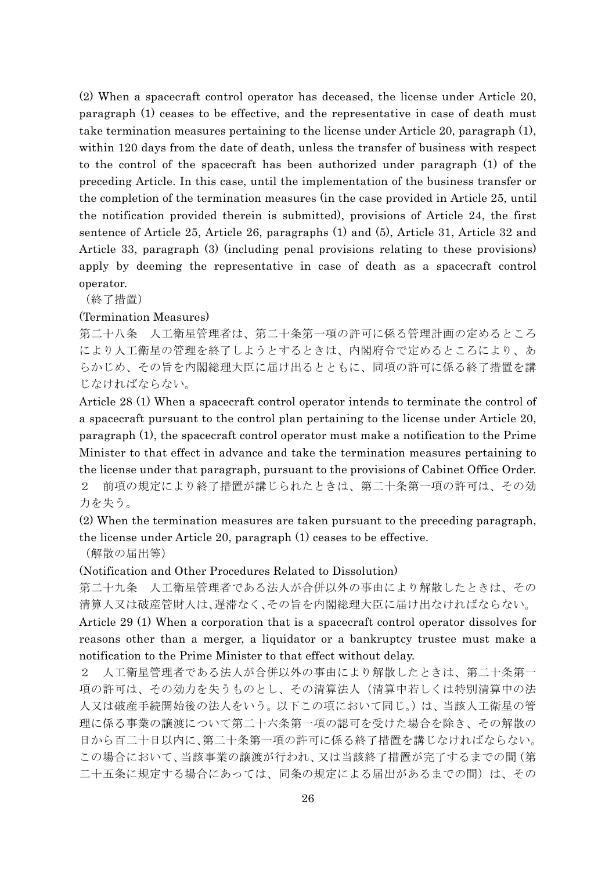(2) When a spacecraft control operator has deceased, the license under Article 20, paragraph (1) ceases to be effective, and the representative in case of death must take termination measures pertaining to the license under Article 20, paragraph (1), within 120 days from the date of death, unless the transfer of business with respect to the control of the spacecraft has been authorized under paragraph (1) of the preceding Article. In this case, until the implementation of the business transfer or the completion of the termination measures (in the case provided in Article 25, until the notification provided therein is submitted), provisions of Article 24, the first sentence of Article 25, Article 26, paragraphs (1) and (5), Article 31, Article 32 and Article 33, paragraph (3) (including penal provisions relating to these provisions) apply by deeming the representative in case of death as a spacecraft control operator.

(終了措置)

#### (Termination Measures)

第二十八条 人工衛星管理者は、第二十条第一項の許可に係る管理計画の定めるところ により人工衛星の管理を終了しようとするときは、内閣府令で定めるところにより、あ らかじめ、その旨を内閣総理大臣に届け出るとともに、同項の許可に係る終了措置を講 じなければならない。

Article 28 (1) When a spacecraft control operator intends to terminate the control of a spacecraft pursuant to the control plan pertaining to the license under Article 20, paragraph (1), the spacecraft control operator must make a notification to the Prime Minister to that effect in advance and take the termination measures pertaining to the license under that paragraph, pursuant to the provisions of Cabinet Office Order. 2 前項の規定により終了措置が講じられたときは、第二十条第一項の許可は、その効 力を失う。

(2) When the termination measures are taken pursuant to the preceding paragraph, the license under Article 20, paragraph (1) ceases to be effective.

(解散の届出等)

(Notification and Other Procedures Related to Dissolution)

第二十九条 人工衛星管理者である法人が合併以外の事由により解散したときは、その 清算人又は破産管財人は、遅滞なく、その旨を内閣総理大臣に届け出なければならない。

Article 29 (1) When a corporation that is a spacecraft control operator dissolves for reasons other than a merger, a liquidator or a bankruptcy trustee must make a notification to the Prime Minister to that effect without delay.

2 人工衛星管理者である法人が合併以外の事由により解散したときは、第二十条第一 項の許可は、その効力を失うものとし、その清算法人(清算中若しくは特別清算中の法 人又は破産手続開始後の法人をいう。以下この項において同じ。)は、当該人工衛星の管 理に係る事業の譲渡について第二十六条第一項の認可を受けた場合を除き、その解散の 日から百二十日以内に、第二十条第一項の許可に係る終了措置を講じなければならない。 この場合において、当該事業の譲渡が行われ、又は当該終了措置が完了するまでの間(第 二十五条に規定する場合にあっては、同条の規定による届出があるまでの間)は、その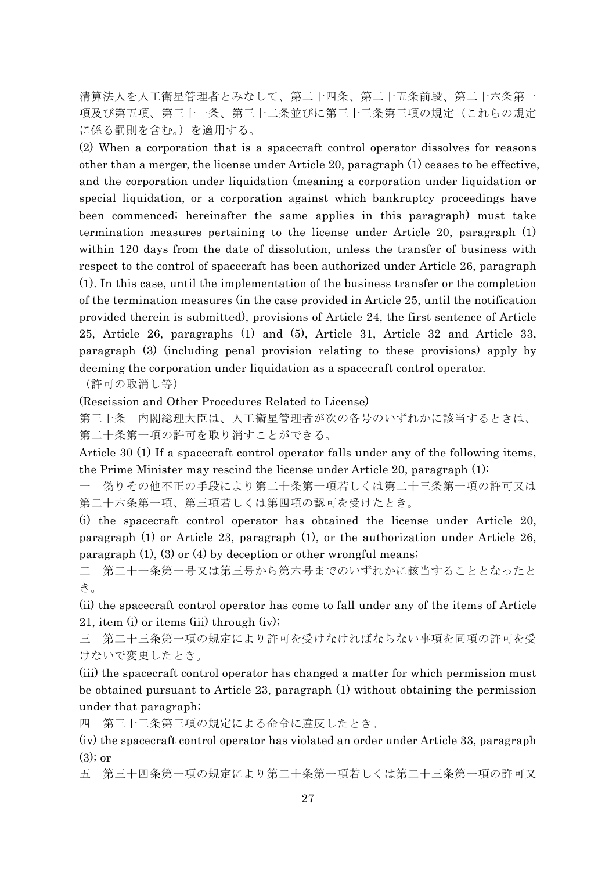清算法人を人工衛星管理者とみなして、第二十四条、第二十五条前段、第二十六条第一 項及び第五項、第三十一条、第三十二条並びに第三十三条第三項の規定(これらの規定 に係る罰則を含む。)を適用する。

(2) When a corporation that is a spacecraft control operator dissolves for reasons other than a merger, the license under Article 20, paragraph (1) ceases to be effective, and the corporation under liquidation (meaning a corporation under liquidation or special liquidation, or a corporation against which bankruptcy proceedings have been commenced; hereinafter the same applies in this paragraph) must take termination measures pertaining to the license under Article 20, paragraph (1) within 120 days from the date of dissolution, unless the transfer of business with respect to the control of spacecraft has been authorized under Article 26, paragraph (1). In this case, until the implementation of the business transfer or the completion of the termination measures (in the case provided in Article 25, until the notification provided therein is submitted), provisions of Article 24, the first sentence of Article 25, Article 26, paragraphs (1) and (5), Article 31, Article 32 and Article 33, paragraph (3) (including penal provision relating to these provisions) apply by deeming the corporation under liquidation as a spacecraft control operator.

(許可の取消し等)

(Rescission and Other Procedures Related to License)

第三十条 内閣総理大臣は、人工衛星管理者が次の各号のいずれかに該当するときは、 第二十条第一項の許可を取り消すことができる。

Article 30 (1) If a spacecraft control operator falls under any of the following items, the Prime Minister may rescind the license under Article 20, paragraph (1):

一 偽りその他不正の手段により第二十条第一項若しくは第二十三条第一項の許可又は 第二十六条第一項、第三項若しくは第四項の認可を受けたとき。

(i) the spacecraft control operator has obtained the license under Article 20, paragraph (1) or Article 23, paragraph (1), or the authorization under Article 26, paragraph (1), (3) or (4) by deception or other wrongful means;

二 第二十一条第一号又は第三号から第六号までのいずれかに該当することとなったと き。

(ii) the spacecraft control operator has come to fall under any of the items of Article 21, item (i) or items (iii) through (iv);

三 第二十三条第一項の規定により許可を受けなければならない事項を同項の許可を受 けないで変更したとき。

(iii) the spacecraft control operator has changed a matter for which permission must be obtained pursuant to Article 23, paragraph (1) without obtaining the permission under that paragraph;

四 第三十三条第三項の規定による命令に違反したとき。

(iv) the spacecraft control operator has violated an order under Article 33, paragraph  $(3)$ ; or

五 第三十四条第一項の規定により第二十条第一項若しくは第二十三条第一項の許可又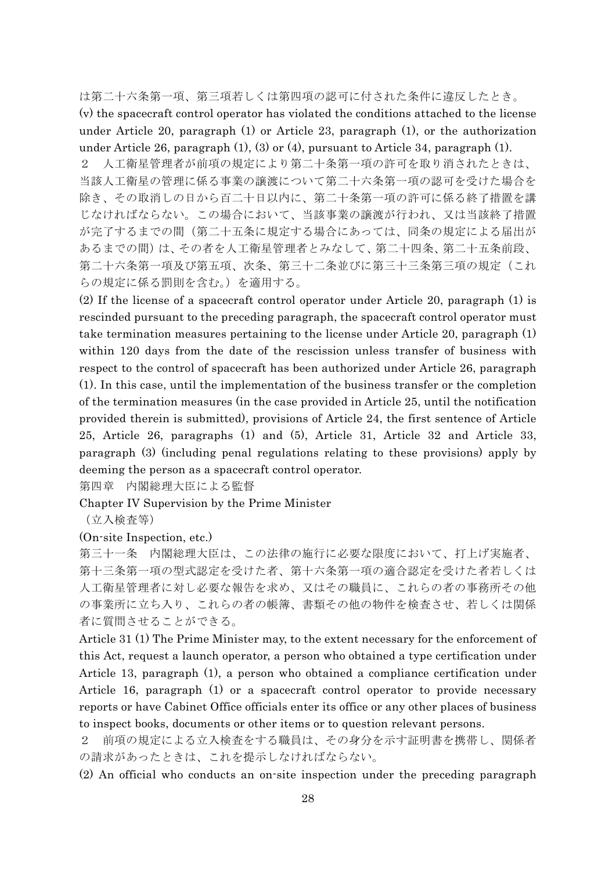は第二十六条第一項、第三項若しくは第四項の認可に付された条件に違反したとき。 (v) the spacecraft control operator has violated the conditions attached to the license under Article 20, paragraph (1) or Article 23, paragraph (1), or the authorization under Article 26, paragraph (1), (3) or (4), pursuant to Article 34, paragraph (1).

人工衛星管理者が前項の規定により第二十条第一項の許可を取り消されたときは、 当該人工衛星の管理に係る事業の譲渡について第二十六条第一項の認可を受けた場合を 除き、その取消しの日から百二十日以内に、第二十条第一項の許可に係る終了措置を講 じなければならない。この場合において、当該事業の譲渡が行われ、又は当該終了措置 が完了するまでの間(第二十五条に規定する場合にあっては、同条の規定による届出が あるまでの間)は、その者を人工衛星管理者とみなして、第二十四条、第二十五条前段、 第二十六条第一項及び第五項、次条、第三十二条並びに第三十三条第三項の規定(これ らの規定に係る罰則を含む。)を適用する。

(2) If the license of a spacecraft control operator under Article 20, paragraph (1) is rescinded pursuant to the preceding paragraph, the spacecraft control operator must take termination measures pertaining to the license under Article 20, paragraph (1) within 120 days from the date of the rescission unless transfer of business with respect to the control of spacecraft has been authorized under Article 26, paragraph (1). In this case, until the implementation of the business transfer or the completion of the termination measures (in the case provided in Article 25, until the notification provided therein is submitted), provisions of Article 24, the first sentence of Article 25, Article 26, paragraphs (1) and (5), Article 31, Article 32 and Article 33, paragraph (3) (including penal regulations relating to these provisions) apply by deeming the person as a spacecraft control operator.

第四章 内閣総理大臣による監督

Chapter IV Supervision by the Prime Minister

(立入検査等)

(On-site Inspection, etc.)

第三十一条 内閣総理大臣は、この法律の施行に必要な限度において、打上げ実施者、 第十三条第一項の型式認定を受けた者、第十六条第一項の適合認定を受けた者若しくは 人工衛星管理者に対し必要な報告を求め、又はその職員に、これらの者の事務所その他 の事業所に立ち入り、これらの者の帳簿、書類その他の物件を検査させ、若しくは関係 者に質問させることができる。

Article 31 (1) The Prime Minister may, to the extent necessary for the enforcement of this Act, request a launch operator, a person who obtained a type certification under Article 13, paragraph (1), a person who obtained a compliance certification under Article 16, paragraph (1) or a spacecraft control operator to provide necessary reports or have Cabinet Office officials enter its office or any other places of business to inspect books, documents or other items or to question relevant persons.

前項の規定による立入検査をする職員は、その身分を示す証明書を携帯し、関係者 の請求があったときは、これを提示しなければならない。

(2) An official who conducts an on-site inspection under the preceding paragraph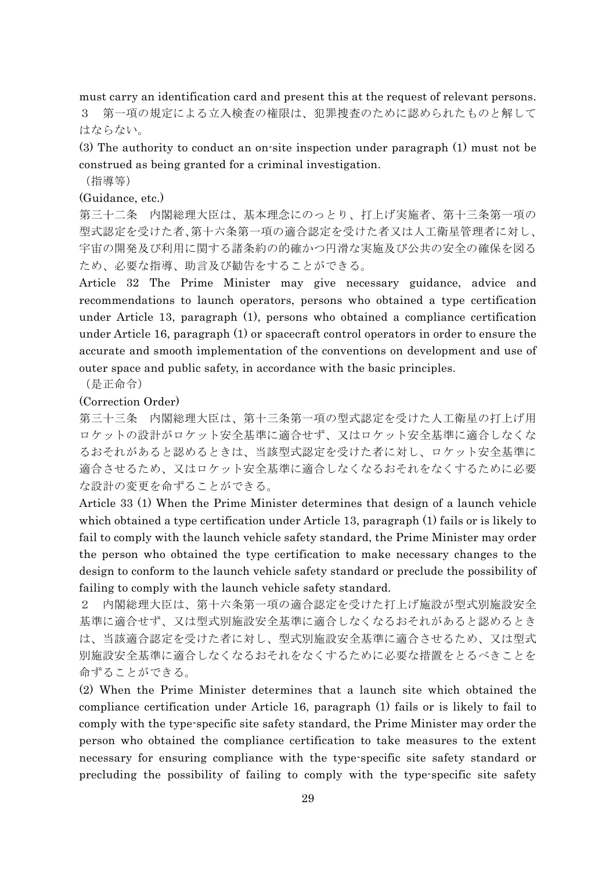must carry an identification card and present this at the request of relevant persons. 3 第一項の規定による立入検査の権限は、犯罪捜査のために認められたものと解して はならない。

(3) The authority to conduct an on-site inspection under paragraph (1) must not be construed as being granted for a criminal investigation.

(指導等)

# (Guidance, etc.)

第三十二条 内閣総理大臣は、基本理念にのっとり、打上げ実施者、第十三条第一項の 型式認定を受けた者、第十六条第一項の適合認定を受けた者又は人工衛星管理者に対し、 宇宙の開発及び利用に関する諸条約の的確かつ円滑な実施及び公共の安全の確保を図る ため、必要な指導、助言及び勧告をすることができる。

Article 32 The Prime Minister may give necessary guidance, advice and recommendations to launch operators, persons who obtained a type certification under Article 13, paragraph (1), persons who obtained a compliance certification under Article 16, paragraph (1) or spacecraft control operators in order to ensure the accurate and smooth implementation of the conventions on development and use of outer space and public safety, in accordance with the basic principles.

(是正命令)

### (Correction Order)

第三十三条 内閣総理大臣は、第十三条第一項の型式認定を受けた人工衛星の打上げ用 ロケットの設計がロケット安全基準に適合せず、又はロケット安全基準に適合しなくな るおそれがあると認めるときは、当該型式認定を受けた者に対し、ロケット安全基準に 適合させるため、又はロケット安全基準に適合しなくなるおそれをなくするために必要 な設計の変更を命ずることができる。

Article 33 (1) When the Prime Minister determines that design of a launch vehicle which obtained a type certification under Article 13, paragraph (1) fails or is likely to fail to comply with the launch vehicle safety standard, the Prime Minister may order the person who obtained the type certification to make necessary changes to the design to conform to the launch vehicle safety standard or preclude the possibility of failing to comply with the launch vehicle safety standard.

2 内閣総理大臣は、第十六条第一項の適合認定を受けた打上げ施設が型式別施設安全 基準に適合せず、又は型式別施設安全基準に適合しなくなるおそれがあると認めるとき は、当該適合認定を受けた者に対し、型式別施設安全基準に適合させるため、又は型式 別施設安全基準に適合しなくなるおそれをなくするために必要な措置をとるべきことを 命ずることができる。

(2) When the Prime Minister determines that a launch site which obtained the compliance certification under Article 16, paragraph (1) fails or is likely to fail to comply with the type-specific site safety standard, the Prime Minister may order the person who obtained the compliance certification to take measures to the extent necessary for ensuring compliance with the type-specific site safety standard or precluding the possibility of failing to comply with the type-specific site safety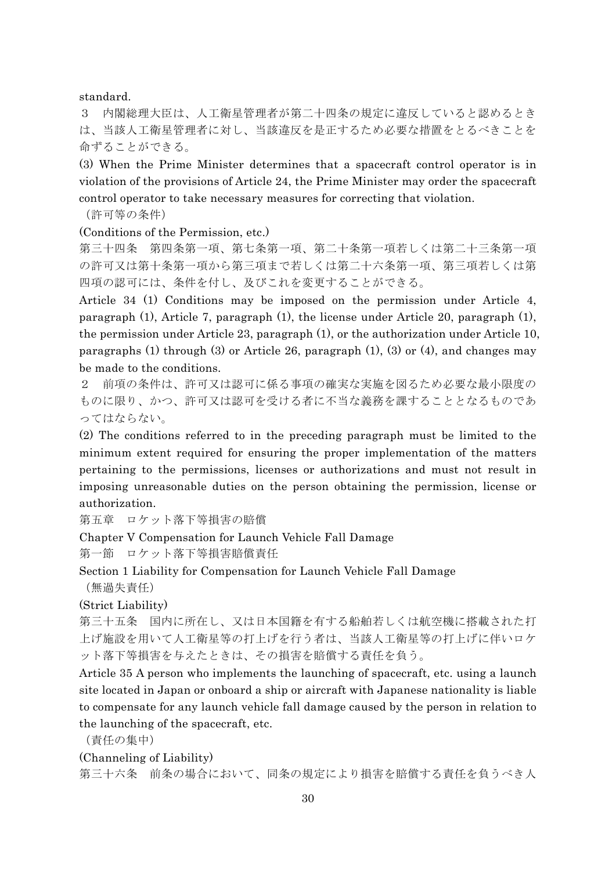standard.

3 内閣総理大臣は、人工衛星管理者が第二十四条の規定に違反していると認めるとき は、当該人工衛星管理者に対し、当該違反を是正するため必要な措置をとるべきことを 命ずることができる。

(3) When the Prime Minister determines that a spacecraft control operator is in violation of the provisions of Article 24, the Prime Minister may order the spacecraft control operator to take necessary measures for correcting that violation.

(許可等の条件)

(Conditions of the Permission, etc.)

第三十四条 第四条第一項、第七条第一項、第二十条第一項若しくは第二十三条第一項 の許可又は第十条第一項から第三項まで若しくは第二十六条第一項、第三項若しくは第 四項の認可には、条件を付し、及びこれを変更することができる。

Article 34 (1) Conditions may be imposed on the permission under Article 4, paragraph (1), Article 7, paragraph (1), the license under Article 20, paragraph (1), the permission under Article 23, paragraph (1), or the authorization under Article 10, paragraphs (1) through (3) or Article 26, paragraph (1), (3) or (4), and changes may be made to the conditions.

2 前項の条件は、許可又は認可に係る事項の確実な実施を図るため必要な最小限度の ものに限り、かつ、許可又は認可を受ける者に不当な義務を課することとなるものであ ってはならない。

(2) The conditions referred to in the preceding paragraph must be limited to the minimum extent required for ensuring the proper implementation of the matters pertaining to the permissions, licenses or authorizations and must not result in imposing unreasonable duties on the person obtaining the permission, license or authorization.

第五章 ロケット落下等損害の賠償

Chapter V Compensation for Launch Vehicle Fall Damage

第一節 ロケット落下等損害賠償責任

Section 1 Liability for Compensation for Launch Vehicle Fall Damage

(無過失責任)

(Strict Liability)

第三十五条 国内に所在し、又は日本国籍を有する船舶若しくは航空機に搭載された打 上げ施設を用いて人工衛星等の打上げを行う者は、当該人工衛星等の打上げに伴いロケ ット落下等損害を与えたときは、その損害を賠償する責任を負う。

Article 35 A person who implements the launching of spacecraft, etc. using a launch site located in Japan or onboard a ship or aircraft with Japanese nationality is liable to compensate for any launch vehicle fall damage caused by the person in relation to the launching of the spacecraft, etc.

(責任の集中)

(Channeling of Liability)

第三十六条 前条の場合において、同条の規定により損害を賠償する責任を負うべき人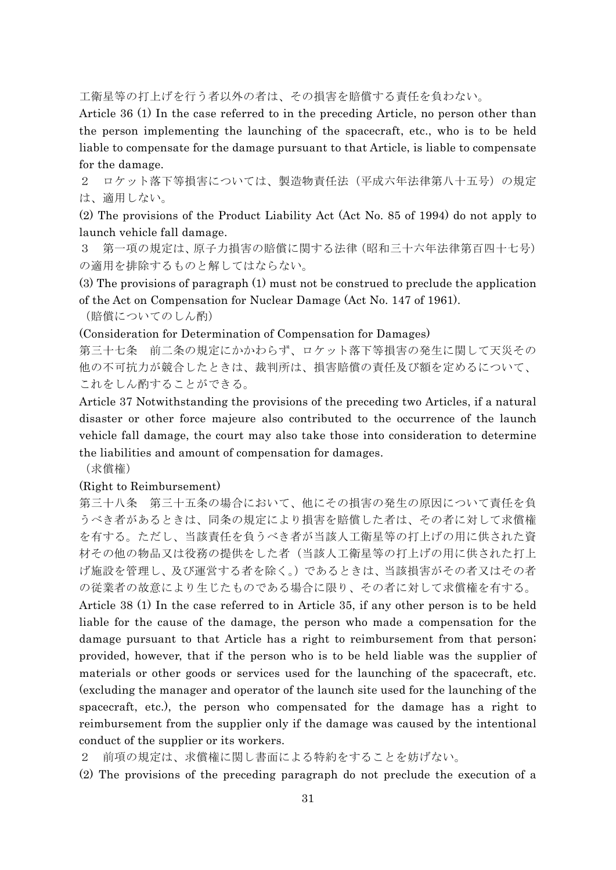工衛星等の打上げを行う者以外の者は、その損害を賠償する責任を負わない。

Article 36 (1) In the case referred to in the preceding Article, no person other than the person implementing the launching of the spacecraft, etc., who is to be held liable to compensate for the damage pursuant to that Article, is liable to compensate for the damage.

2 ロケット落下等損害については、製造物責任法(平成六年法律第八十五号)の規定 は、適用しない。

(2) The provisions of the Product Liability Act (Act No. 85 of 1994) do not apply to launch vehicle fall damage.

3 第一項の規定は、原子力損害の賠償に関する法律(昭和三十六年法律第百四十七号) の適用を排除するものと解してはならない。

(3) The provisions of paragraph (1) must not be construed to preclude the application of the Act on Compensation for Nuclear Damage (Act No. 147 of 1961).

(賠償についてのしん酌)

(Consideration for Determination of Compensation for Damages)

第三十七条 前二条の規定にかかわらず、ロケット落下等損害の発生に関して天災その 他の不可抗力が競合したときは、裁判所は、損害賠償の責任及び額を定めるについて、 これをしん酌することができる。

Article 37 Notwithstanding the provisions of the preceding two Articles, if a natural disaster or other force majeure also contributed to the occurrence of the launch vehicle fall damage, the court may also take those into consideration to determine the liabilities and amount of compensation for damages.

(求償権)

#### (Right to Reimbursement)

第三十八条 第三十五条の場合において、他にその損害の発生の原因について責任を負 うべき者があるときは、同条の規定により損害を賠償した者は、その者に対して求償権 を有する。ただし、当該責任を負うべき者が当該人工衛星等の打上げの用に供された資 材その他の物品又は役務の提供をした者(当該人工衛星等の打上げの用に供された打上 げ施設を管理し、及び運営する者を除く。)であるときは、当該損害がその者又はその者 の従業者の故意により生じたものである場合に限り、その者に対して求償権を有する。

Article 38 (1) In the case referred to in Article 35, if any other person is to be held liable for the cause of the damage, the person who made a compensation for the damage pursuant to that Article has a right to reimbursement from that person; provided, however, that if the person who is to be held liable was the supplier of materials or other goods or services used for the launching of the spacecraft, etc. (excluding the manager and operator of the launch site used for the launching of the spacecraft, etc.), the person who compensated for the damage has a right to reimbursement from the supplier only if the damage was caused by the intentional conduct of the supplier or its workers.

2 前項の規定は、求償権に関し書面による特約をすることを妨げない。

(2) The provisions of the preceding paragraph do not preclude the execution of a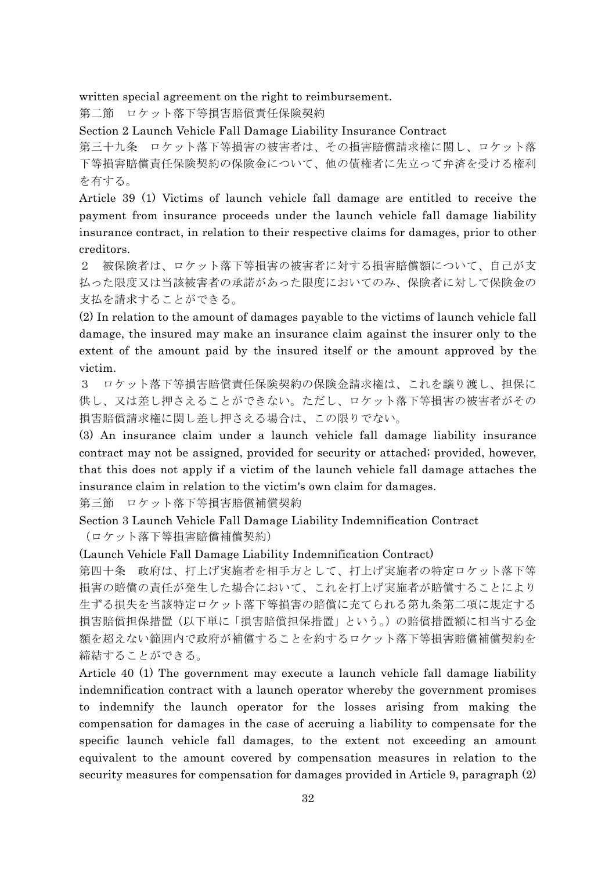written special agreement on the right to reimbursement.

第二節 ロケット落下等損害賠償責任保険契約

Section 2 Launch Vehicle Fall Damage Liability Insurance Contract

第三十九条 ロケット落下等損害の被害者は、その損害賠償請求権に関し、ロケット落 下等損害賠償責任保険契約の保険金について、他の債権者に先立って弁済を受ける権利 を有する。

Article 39 (1) Victims of launch vehicle fall damage are entitled to receive the payment from insurance proceeds under the launch vehicle fall damage liability insurance contract, in relation to their respective claims for damages, prior to other creditors.

2 被保険者は、ロケット落下等損害の被害者に対する損害賠償額について、自己が支 払った限度又は当該被害者の承諾があった限度においてのみ、保険者に対して保険金の 支払を請求することができる。

(2) In relation to the amount of damages payable to the victims of launch vehicle fall damage, the insured may make an insurance claim against the insurer only to the extent of the amount paid by the insured itself or the amount approved by the victim.

3 ロケット落下等損害賠償責任保険契約の保険金請求権は、これを譲り渡し、担保に 供し、又は差し押さえることができない。ただし、ロケット落下等損害の被害者がその 損害賠償請求権に関し差し押さえる場合は、この限りでない。

(3) An insurance claim under a launch vehicle fall damage liability insurance contract may not be assigned, provided for security or attached; provided, however, that this does not apply if a victim of the launch vehicle fall damage attaches the insurance claim in relation to the victim's own claim for damages.

第三節 ロケット落下等損害賠償補償契約

Section 3 Launch Vehicle Fall Damage Liability Indemnification Contract (ロケット落下等損害賠償補償契約)

(Launch Vehicle Fall Damage Liability Indemnification Contract)

第四十条 政府は、打上げ実施者を相手方として、打上げ実施者の特定ロケット落下等 損害の賠償の責任が発生した場合において、これを打上げ実施者が賠償することにより 生ずる損失を当該特定ロケット落下等損害の賠償に充てられる第九条第二項に規定する 損害賠償担保措置(以下単に「損害賠償担保措置」という。)の賠償措置額に相当する金 額を超えない範囲内で政府が補償することを約するロケット落下等損害賠償補償契約を 締結することができる。

Article 40 (1) The government may execute a launch vehicle fall damage liability indemnification contract with a launch operator whereby the government promises to indemnify the launch operator for the losses arising from making the compensation for damages in the case of accruing a liability to compensate for the specific launch vehicle fall damages, to the extent not exceeding an amount equivalent to the amount covered by compensation measures in relation to the security measures for compensation for damages provided in Article 9, paragraph (2)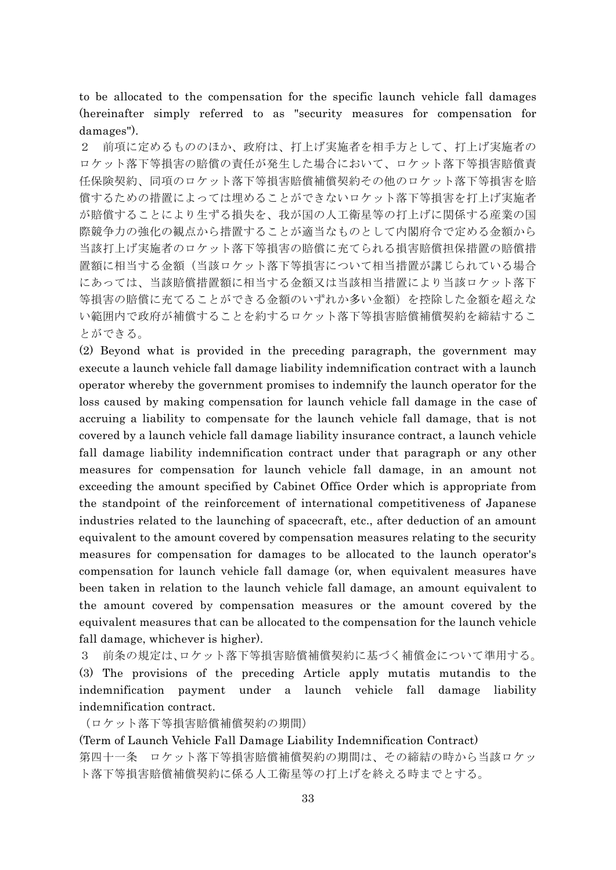to be allocated to the compensation for the specific launch vehicle fall damages (hereinafter simply referred to as "security measures for compensation for damages").

2 前項に定めるもののほか、政府は、打上げ実施者を相手方として、打上げ実施者の ロケット落下等損害の賠償の責任が発生した場合において、ロケット落下等損害賠償責 任保険契約、同項のロケット落下等損害賠償補償契約その他のロケット落下等損害を賠 償するための措置によっては埋めることができないロケット落下等損害を打上げ実施者 が賠償することにより生ずる損失を、我が国の人工衛星等の打上げに関係する産業の国 際競争力の強化の観点から措置することが適当なものとして内閣府令で定める金額から 当該打上げ実施者のロケット落下等損害の賠償に充てられる損害賠償担保措置の賠償措 置額に相当する金額(当該ロケット落下等損害について相当措置が講じられている場合 にあっては、当該賠償措置額に相当する金額又は当該相当措置により当該ロケット落下 等損害の賠償に充てることができる金額のいずれか多い金額)を控除した金額を超えな い範囲内で政府が補償することを約するロケット落下等損害賠償補償契約を締結するこ とができる。

(2) Beyond what is provided in the preceding paragraph, the government may execute a launch vehicle fall damage liability indemnification contract with a launch operator whereby the government promises to indemnify the launch operator for the loss caused by making compensation for launch vehicle fall damage in the case of accruing a liability to compensate for the launch vehicle fall damage, that is not covered by a launch vehicle fall damage liability insurance contract, a launch vehicle fall damage liability indemnification contract under that paragraph or any other measures for compensation for launch vehicle fall damage, in an amount not exceeding the amount specified by Cabinet Office Order which is appropriate from the standpoint of the reinforcement of international competitiveness of Japanese industries related to the launching of spacecraft, etc., after deduction of an amount equivalent to the amount covered by compensation measures relating to the security measures for compensation for damages to be allocated to the launch operator's compensation for launch vehicle fall damage (or, when equivalent measures have been taken in relation to the launch vehicle fall damage, an amount equivalent to the amount covered by compensation measures or the amount covered by the equivalent measures that can be allocated to the compensation for the launch vehicle fall damage, whichever is higher).

3 前条の規定は、ロケット落下等損害賠償補償契約に基づく補償金について準用する。 (3) The provisions of the preceding Article apply mutatis mutandis to the indemnification payment under a launch vehicle fall damage liability indemnification contract.

(ロケット落下等損害賠償補償契約の期間)

(Term of Launch Vehicle Fall Damage Liability Indemnification Contract) 第四十一条 ロケット落下等損害賠償補償契約の期間は、その締結の時から当該ロケッ ト落下等損害賠償補償契約に係る人工衛星等の打上げを終える時までとする。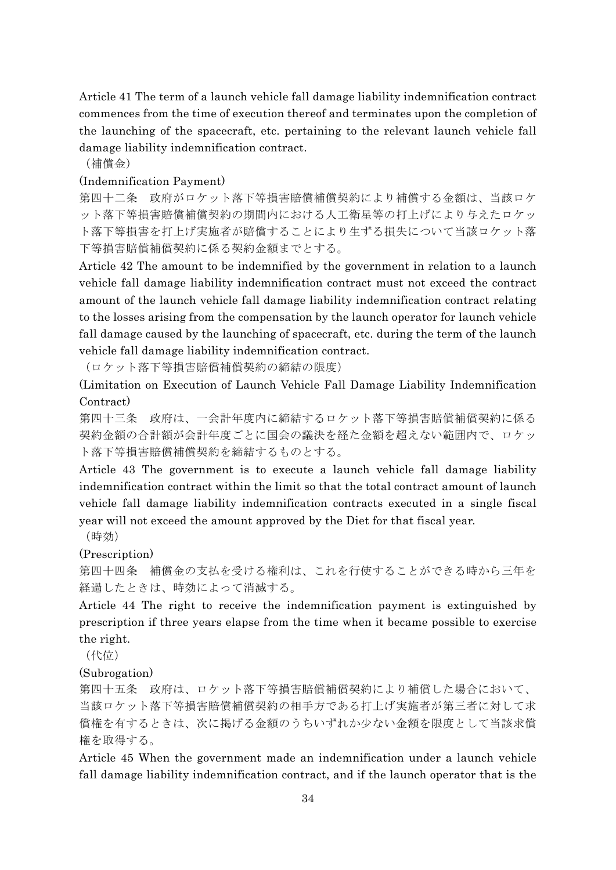Article 41 The term of a launch vehicle fall damage liability indemnification contract commences from the time of execution thereof and terminates upon the completion of the launching of the spacecraft, etc. pertaining to the relevant launch vehicle fall damage liability indemnification contract.

(補償金)

# (Indemnification Payment)

第四十二条 政府がロケット落下等損害賠償補償契約により補償する金額は、当該ロケ ット落下等損害賠償補償契約の期間内における人工衛星等の打上げにより与えたロケッ ト落下等損害を打上げ実施者が賠償することにより生ずる損失について当該ロケット落 下等損害賠償補償契約に係る契約金額までとする。

Article 42 The amount to be indemnified by the government in relation to a launch vehicle fall damage liability indemnification contract must not exceed the contract amount of the launch vehicle fall damage liability indemnification contract relating to the losses arising from the compensation by the launch operator for launch vehicle fall damage caused by the launching of spacecraft, etc. during the term of the launch vehicle fall damage liability indemnification contract.

(ロケット落下等損害賠償補償契約の締結の限度)

(Limitation on Execution of Launch Vehicle Fall Damage Liability Indemnification Contract)

第四十三条 政府は、一会計年度内に締結するロケット落下等損害賠償補償契約に係る 契約金額の合計額が会計年度ごとに国会の議決を経た金額を超えない範囲内で、ロケッ ト落下等損害賠償補償契約を締結するものとする。

Article 43 The government is to execute a launch vehicle fall damage liability indemnification contract within the limit so that the total contract amount of launch vehicle fall damage liability indemnification contracts executed in a single fiscal year will not exceed the amount approved by the Diet for that fiscal year.

(時効)

(Prescription)

第四十四条 補償金の支払を受ける権利は、これを行使することができる時から三年を 経過したときは、時効によって消滅する。

Article 44 The right to receive the indemnification payment is extinguished by prescription if three years elapse from the time when it became possible to exercise the right.

(代位)

(Subrogation)

第四十五条 政府は、ロケット落下等損害賠償補償契約により補償した場合において、 当該ロケット落下等損害賠償補償契約の相手方である打上げ実施者が第三者に対して求 償権を有するときは、次に掲げる金額のうちいずれか少ない金額を限度として当該求償 権を取得する。

Article 45 When the government made an indemnification under a launch vehicle fall damage liability indemnification contract, and if the launch operator that is the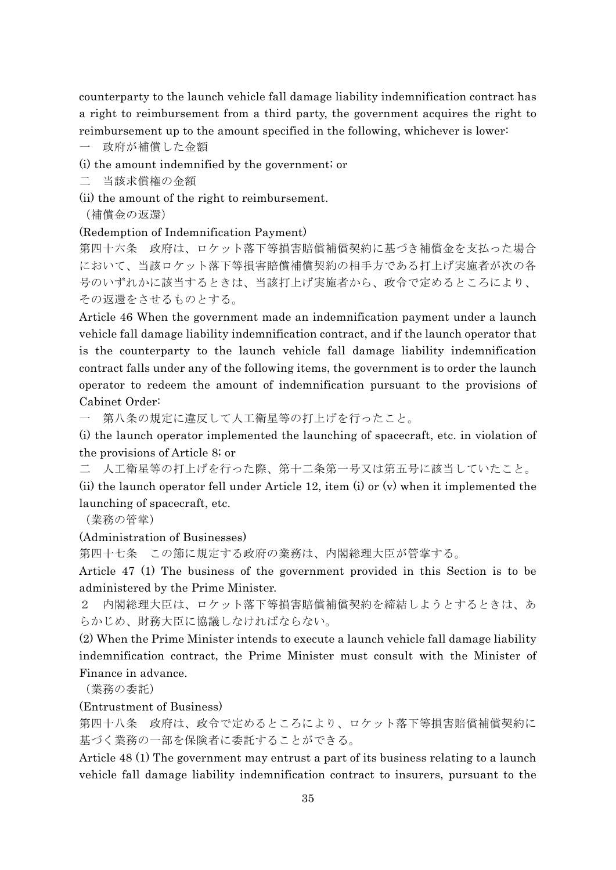counterparty to the launch vehicle fall damage liability indemnification contract has a right to reimbursement from a third party, the government acquires the right to reimbursement up to the amount specified in the following, whichever is lower:

一 政府が補償した金額

(i) the amount indemnified by the government; or

二 当該求償権の金額

(ii) the amount of the right to reimbursement.

(補償金の返還)

(Redemption of Indemnification Payment)

第四十六条 政府は、ロケット落下等損害賠償補償契約に基づき補償金を支払った場合 において、当該ロケット落下等損害賠償補償契約の相手方である打上げ実施者が次の各 号のいずれかに該当するときは、当該打上げ実施者から、政令で定めるところにより、 その返還をさせるものとする。

Article 46 When the government made an indemnification payment under a launch vehicle fall damage liability indemnification contract, and if the launch operator that is the counterparty to the launch vehicle fall damage liability indemnification contract falls under any of the following items, the government is to order the launch operator to redeem the amount of indemnification pursuant to the provisions of Cabinet Order:

一 第八条の規定に違反して人工衛星等の打上げを行ったこと。

(i) the launch operator implemented the launching of spacecraft, etc. in violation of the provisions of Article 8; or

二 人工衛星等の打上げを行った際、第十二条第一号又は第五号に該当していたこと。

(ii) the launch operator fell under Article 12, item (i) or (v) when it implemented the launching of spacecraft, etc.

(業務の管掌)

#### (Administration of Businesses)

第四十七条 この節に規定する政府の業務は、内閣総理大臣が管掌する。

Article 47 (1) The business of the government provided in this Section is to be administered by the Prime Minister.

2 内閣総理大臣は、ロケット落下等損害賠償補償契約を締結しようとするときは、あ らかじめ、財務大臣に協議しなければならない。

(2) When the Prime Minister intends to execute a launch vehicle fall damage liability indemnification contract, the Prime Minister must consult with the Minister of Finance in advance.

(業務の委託)

#### (Entrustment of Business)

第四十八条 政府は、政令で定めるところにより、ロケット落下等損害賠償補償契約に 基づく業務の一部を保険者に委託することができる。

Article 48 (1) The government may entrust a part of its business relating to a launch vehicle fall damage liability indemnification contract to insurers, pursuant to the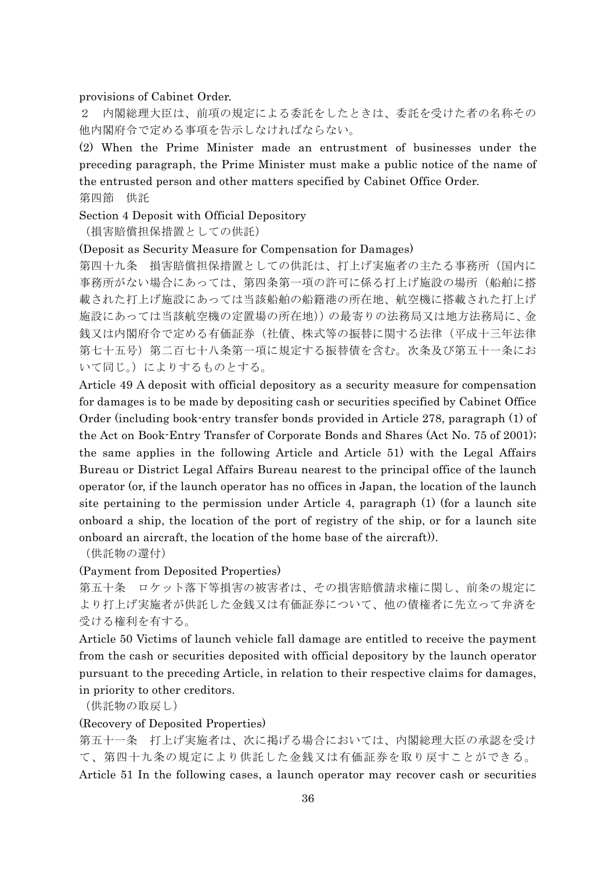#### provisions of Cabinet Order.

2 内閣総理大臣は、前項の規定による委託をしたときは、委託を受けた者の名称その 他内閣府令で定める事項を告示しなければならない。

(2) When the Prime Minister made an entrustment of businesses under the preceding paragraph, the Prime Minister must make a public notice of the name of the entrusted person and other matters specified by Cabinet Office Order. 第四節 供託

Section 4 Deposit with Official Depository

(損害賠償担保措置としての供託)

#### (Deposit as Security Measure for Compensation for Damages)

第四十九条 損害賠償担保措置としての供託は、打上げ実施者の主たる事務所(国内に 事務所がない場合にあっては、第四条第一項の許可に係る打上げ施設の場所(船舶に搭 載された打上げ施設にあっては当該船舶の船籍港の所在地、航空機に搭載された打上げ 施設にあっては当該航空機の定置場の所在地))の最寄りの法務局又は地方法務局に、金 銭又は内閣府令で定める有価証券(社債、株式等の振替に関する法律(平成十三年法律 第七十五号)第二百七十八条第一項に規定する振替債を含む。次条及び第五十一条にお いて同じ。)によりするものとする。

Article 49 A deposit with official depository as a security measure for compensation for damages is to be made by depositing cash or securities specified by Cabinet Office Order (including book-entry transfer bonds provided in Article 278, paragraph (1) of the Act on Book-Entry Transfer of Corporate Bonds and Shares (Act No. 75 of 2001); the same applies in the following Article and Article 51) with the Legal Affairs Bureau or District Legal Affairs Bureau nearest to the principal office of the launch operator (or, if the launch operator has no offices in Japan, the location of the launch site pertaining to the permission under Article 4, paragraph (1) (for a launch site onboard a ship, the location of the port of registry of the ship, or for a launch site onboard an aircraft, the location of the home base of the aircraft)).

(供託物の還付)

(Payment from Deposited Properties)

第五十条 ロケット落下等損害の被害者は、その損害賠償請求権に関し、前条の規定に より打上げ実施者が供託した金銭又は有価証券について、他の債権者に先立って弁済を 受ける権利を有する。

Article 50 Victims of launch vehicle fall damage are entitled to receive the payment from the cash or securities deposited with official depository by the launch operator pursuant to the preceding Article, in relation to their respective claims for damages, in priority to other creditors.

(供託物の取戻し)

(Recovery of Deposited Properties)

第五十一条 打上げ実施者は、次に掲げる場合においては、内閣総理大臣の承認を受け て、第四十九条の規定により供託した金銭又は有価証券を取り戻すことができる。 Article 51 In the following cases, a launch operator may recover cash or securities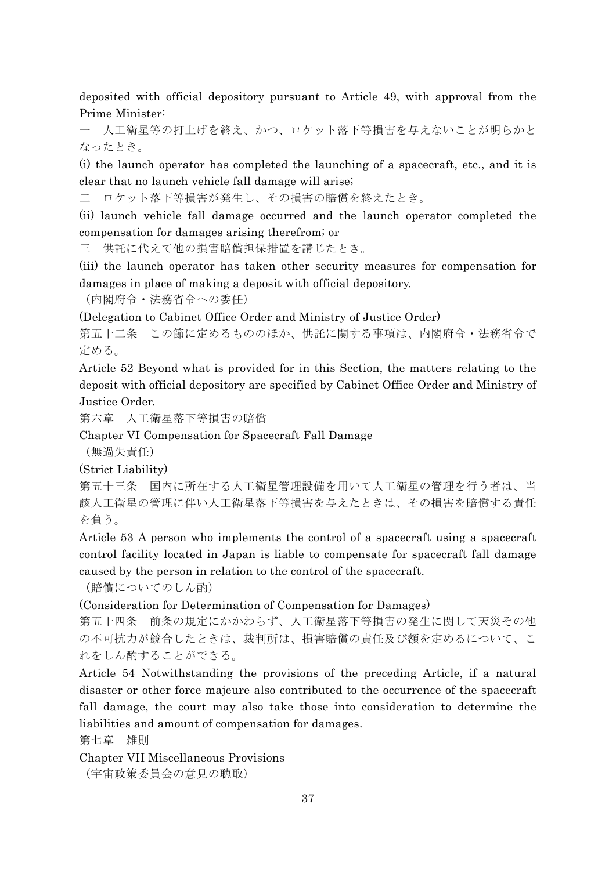deposited with official depository pursuant to Article 49, with approval from the Prime Minister:

一 人工衛星等の打上げを終え、かつ、ロケット落下等損害を与えないことが明らかと なったとき。

(i) the launch operator has completed the launching of a spacecraft, etc., and it is clear that no launch vehicle fall damage will arise;

二 ロケット落下等損害が発生し、その損害の賠償を終えたとき。

(ii) launch vehicle fall damage occurred and the launch operator completed the compensation for damages arising therefrom; or

三 供託に代えて他の損害賠償担保措置を講じたとき。

(iii) the launch operator has taken other security measures for compensation for damages in place of making a deposit with official depository.

(内閣府令・法務省令への委任)

(Delegation to Cabinet Office Order and Ministry of Justice Order)

第五十二条 この節に定めるもののほか、供託に関する事項は、内閣府令・法務省令で 定める。

Article 52 Beyond what is provided for in this Section, the matters relating to the deposit with official depository are specified by Cabinet Office Order and Ministry of Justice Order.

第六章 人工衛星落下等損害の賠償

Chapter VI Compensation for Spacecraft Fall Damage

(無過失責任)

(Strict Liability)

第五十三条 国内に所在する人工衛星管理設備を用いて人工衛星の管理を行う者は、当 該人工衛星の管理に伴い人工衛星落下等損害を与えたときは、その損害を賠償する責任 を負う。

Article 53 A person who implements the control of a spacecraft using a spacecraft control facility located in Japan is liable to compensate for spacecraft fall damage caused by the person in relation to the control of the spacecraft.

(賠償についてのしん酌)

(Consideration for Determination of Compensation for Damages)

第五十四条 前条の規定にかかわらず、人工衛星落下等損害の発生に関して天災その他 の不可抗力が競合したときは、裁判所は、損害賠償の責任及び額を定めるについて、こ れをしん酌することができる。

Article 54 Notwithstanding the provisions of the preceding Article, if a natural disaster or other force majeure also contributed to the occurrence of the spacecraft fall damage, the court may also take those into consideration to determine the liabilities and amount of compensation for damages.

第七章 雑則

Chapter VII Miscellaneous Provisions

(宇宙政策委員会の意見の聴取)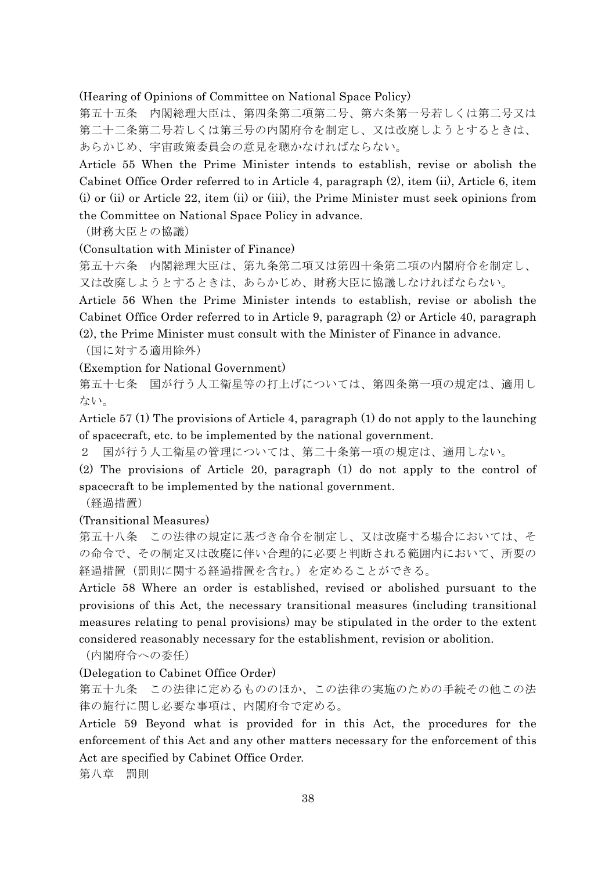(Hearing of Opinions of Committee on National Space Policy)

第五十五条 内閣総理大臣は、第四条第二項第二号、第六条第一号若しくは第二号又は 第二十二条第二号若しくは第三号の内閣府令を制定し、又は改廃しようとするときは、 あらかじめ、宇宙政策委員会の意見を聴かなければならない。

Article 55 When the Prime Minister intends to establish, revise or abolish the Cabinet Office Order referred to in Article 4, paragraph (2), item (ii), Article 6, item (i) or (ii) or Article 22, item (ii) or (iii), the Prime Minister must seek opinions from the Committee on National Space Policy in advance.

(財務大臣との協議)

(Consultation with Minister of Finance)

第五十六条 内閣総理大臣は、第九条第二項又は第四十条第二項の内閣府令を制定し、 又は改廃しようとするときは、あらかじめ、財務大臣に協議しなければならない。

Article 56 When the Prime Minister intends to establish, revise or abolish the Cabinet Office Order referred to in Article 9, paragraph (2) or Article 40, paragraph (2), the Prime Minister must consult with the Minister of Finance in advance.

(国に対する適用除外)

(Exemption for National Government)

第五十七条 国が行う人工衛星等の打上げについては、第四条第一項の規定は、適用し ない。

Article 57 (1) The provisions of Article 4, paragraph (1) do not apply to the launching of spacecraft, etc. to be implemented by the national government.

2 国が行う人工衛星の管理については、第二十条第一項の規定は、適用しない。

(2) The provisions of Article 20, paragraph (1) do not apply to the control of spacecraft to be implemented by the national government.

(経過措置)

(Transitional Measures)

第五十八条 この法律の規定に基づき命令を制定し、又は改廃する場合においては、そ の命令で、その制定又は改廃に伴い合理的に必要と判断される範囲内において、所要の 経過措置(罰則に関する経過措置を含む。)を定めることができる。

Article 58 Where an order is established, revised or abolished pursuant to the provisions of this Act, the necessary transitional measures (including transitional measures relating to penal provisions) may be stipulated in the order to the extent considered reasonably necessary for the establishment, revision or abolition.

(内閣府令への委任)

#### (Delegation to Cabinet Office Order)

第五十九条 この法律に定めるもののほか、この法律の実施のための手続その他この法 律の施行に関し必要な事項は、内閣府令で定める。

Article 59 Beyond what is provided for in this Act, the procedures for the enforcement of this Act and any other matters necessary for the enforcement of this Act are specified by Cabinet Office Order.

第八章 罰則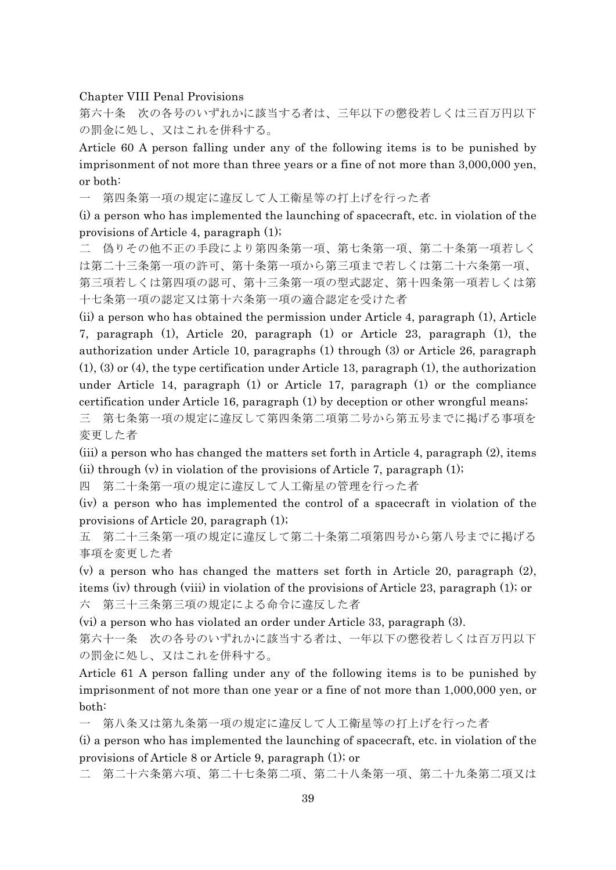#### Chapter VIII Penal Provisions

第六十条 次の各号のいずれかに該当する者は、三年以下の懲役若しくは三百万円以下 の罰金に処し、又はこれを併科する。

Article 60 A person falling under any of the following items is to be punished by imprisonment of not more than three years or a fine of not more than 3,000,000 yen, or both:

一 第四条第一項の規定に違反して人工衛星等の打上げを行った者

(i) a person who has implemented the launching of spacecraft, etc. in violation of the provisions of Article 4, paragraph (1);

二 偽りその他不正の手段により第四条第一項、第七条第一項、第二十条第一項若しく は第二十三条第一項の許可、第十条第一項から第三項まで若しくは第二十六条第一項、 第三項若しくは第四項の認可、第十三条第一項の型式認定、第十四条第一項若しくは第 十七条第一項の認定又は第十六条第一項の適合認定を受けた者

(ii) a person who has obtained the permission under Article 4, paragraph (1), Article 7, paragraph (1), Article 20, paragraph (1) or Article 23, paragraph (1), the authorization under Article 10, paragraphs (1) through (3) or Article 26, paragraph (1), (3) or (4), the type certification under Article 13, paragraph (1), the authorization under Article 14, paragraph (1) or Article 17, paragraph (1) or the compliance certification under Article 16, paragraph (1) by deception or other wrongful means;

三 第七条第一項の規定に違反して第四条第二項第二号から第五号までに掲げる事項を 変更した者

(iii) a person who has changed the matters set forth in Article 4, paragraph (2), items (ii) through  $(v)$  in violation of the provisions of Article 7, paragraph  $(1)$ ;

四 第二十条第一項の規定に違反して人工衛星の管理を行った者

(iv) a person who has implemented the control of a spacecraft in violation of the provisions of Article 20, paragraph (1);

五 第二十三条第一項の規定に違反して第二十条第二項第四号から第八号までに掲げる 事項を変更した者

(v) a person who has changed the matters set forth in Article 20, paragraph (2), items (iv) through (viii) in violation of the provisions of Article 23, paragraph (1); or 六 第三十三条第三項の規定による命令に違反した者

(vi) a person who has violated an order under Article 33, paragraph (3).

第六十一条 次の各号のいずれかに該当する者は、一年以下の懲役若しくは百万円以下 の罰金に処し、又はこれを併科する。

Article 61 A person falling under any of the following items is to be punished by imprisonment of not more than one year or a fine of not more than 1,000,000 yen, or both:

一 第八条又は第九条第一項の規定に違反して人工衛星等の打上げを行った者

(i) a person who has implemented the launching of spacecraft, etc. in violation of the provisions of Article 8 or Article 9, paragraph (1); or

二 第二十六条第六項、第二十七条第二項、第二十八条第一項、第二十九条第二項又は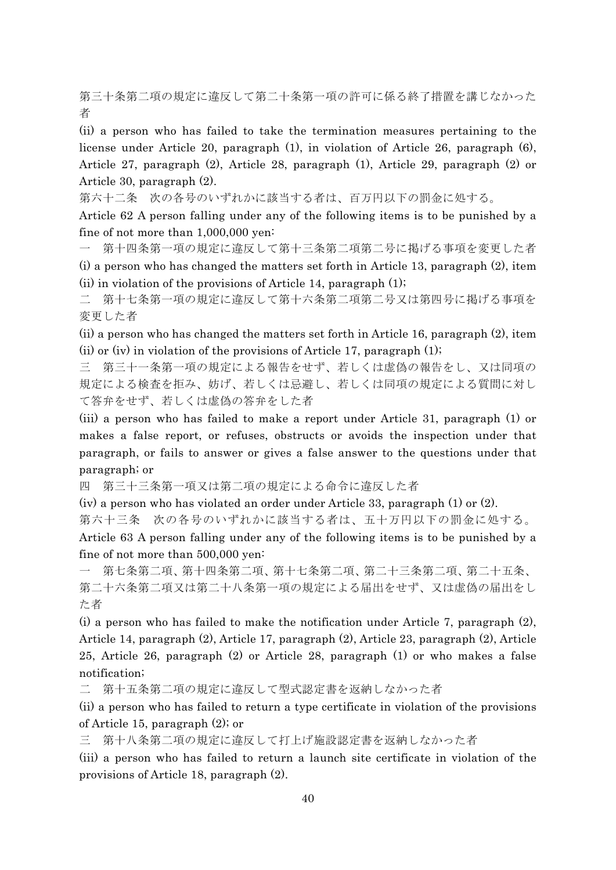第三十条第二項の規定に違反して第二十条第一項の許可に係る終了措置を講じなかった 者

(ii) a person who has failed to take the termination measures pertaining to the license under Article 20, paragraph (1), in violation of Article 26, paragraph (6), Article 27, paragraph (2), Article 28, paragraph (1), Article 29, paragraph (2) or Article 30, paragraph (2).

第六十二条 次の各号のいずれかに該当する者は、百万円以下の罰金に処する。

Article 62 A person falling under any of the following items is to be punished by a fine of not more than 1,000,000 yen:

第十四条第一項の規定に違反して第十三条第二項第二号に掲げる事項を変更した者 (i) a person who has changed the matters set forth in Article 13, paragraph (2), item (ii) in violation of the provisions of Article 14, paragraph (1);

二 第十七条第一項の規定に違反して第十六条第二項第二号又は第四号に掲げる事項を 変更した者

(ii) a person who has changed the matters set forth in Article 16, paragraph (2), item (ii) or (iv) in violation of the provisions of Article 17, paragraph  $(1)$ ;

三 第三十一条第一項の規定による報告をせず、若しくは虚偽の報告をし、又は同項の 規定による検査を拒み、妨げ、若しくは忌避し、若しくは同項の規定による質問に対し て答弁をせず、若しくは虚偽の答弁をした者

(iii) a person who has failed to make a report under Article 31, paragraph (1) or makes a false report, or refuses, obstructs or avoids the inspection under that paragraph, or fails to answer or gives a false answer to the questions under that paragraph; or

四 第三十三条第一項又は第二項の規定による命令に違反した者

(iv) a person who has violated an order under Article 33, paragraph (1) or (2).

第六十三条 次の各号のいずれかに該当する者は、五十万円以下の罰金に処する。

Article 63 A person falling under any of the following items is to be punished by a fine of not more than 500,000 yen:

一 第七条第二項、第十四条第二項、第十七条第二項、第二十三条第二項、第二十五条、 第二十六条第二項又は第二十八条第一項の規定による届出をせず、又は虚偽の届出をし た者

(i) a person who has failed to make the notification under Article 7, paragraph (2), Article 14, paragraph (2), Article 17, paragraph (2), Article 23, paragraph (2), Article 25, Article 26, paragraph (2) or Article 28, paragraph (1) or who makes a false notification;

二 第十五条第二項の規定に違反して型式認定書を返納しなかった者

(ii) a person who has failed to return a type certificate in violation of the provisions of Article 15, paragraph (2); or

三 第十八条第二項の規定に違反して打上げ施設認定書を返納しなかった者

(iii) a person who has failed to return a launch site certificate in violation of the provisions of Article 18, paragraph (2).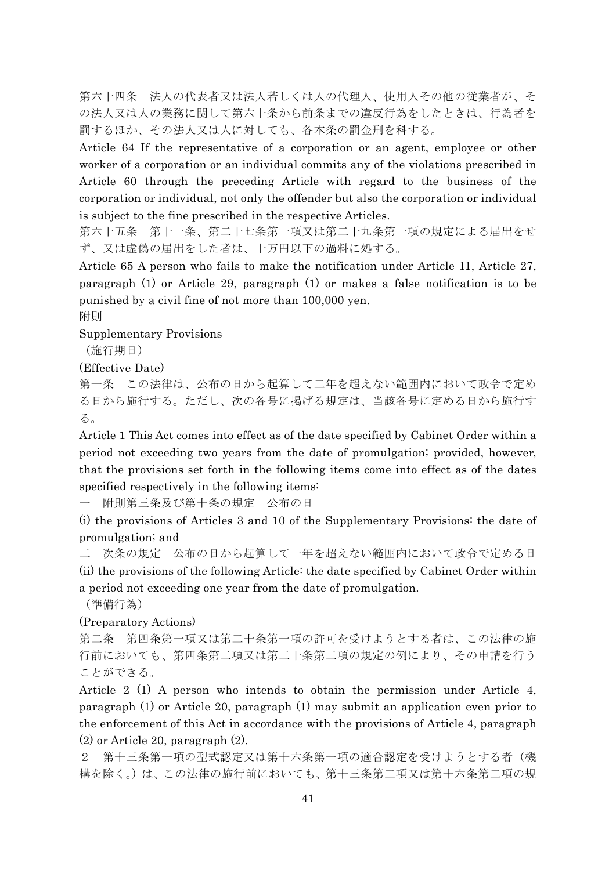第六十四条 法人の代表者又は法人若しくは人の代理人、使用人その他の従業者が、そ の法人又は人の業務に関して第六十条から前条までの違反行為をしたときは、行為者を 罰するほか、その法人又は人に対しても、各本条の罰金刑を科する。

Article 64 If the representative of a corporation or an agent, employee or other worker of a corporation or an individual commits any of the violations prescribed in Article 60 through the preceding Article with regard to the business of the corporation or individual, not only the offender but also the corporation or individual is subject to the fine prescribed in the respective Articles.

第六十五条 第十一条、第二十七条第一項又は第二十九条第一項の規定による届出をせ ず、又は虚偽の届出をした者は、十万円以下の過料に処する。

Article 65 A person who fails to make the notification under Article 11, Article 27, paragraph (1) or Article 29, paragraph (1) or makes a false notification is to be punished by a civil fine of not more than 100,000 yen.

附則

Supplementary Provisions

(施行期日)

(Effective Date)

第一条 この法律は、公布の日から起算して二年を超えない範囲内において政令で定め る日から施行する。ただし、次の各号に掲げる規定は、当該各号に定める日から施行す る。

Article 1 This Act comes into effect as of the date specified by Cabinet Order within a period not exceeding two years from the date of promulgation; provided, however, that the provisions set forth in the following items come into effect as of the dates specified respectively in the following items:

一 附則第三条及び第十条の規定 公布の日

(i) the provisions of Articles 3 and 10 of the Supplementary Provisions: the date of promulgation; and

二 次条の規定 公布の日から起算して一年を超えない範囲内において政令で定める日 (ii) the provisions of the following Article: the date specified by Cabinet Order within a period not exceeding one year from the date of promulgation.

(準備行為)

(Preparatory Actions)

第二条 第四条第一項又は第二十条第一項の許可を受けようとする者は、この法律の施 行前においても、第四条第二項又は第二十条第二項の規定の例により、その申請を行う ことができる。

Article 2 (1) A person who intends to obtain the permission under Article 4, paragraph (1) or Article 20, paragraph (1) may submit an application even prior to the enforcement of this Act in accordance with the provisions of Article 4, paragraph (2) or Article 20, paragraph (2).

2 第十三条第一項の型式認定又は第十六条第一項の適合認定を受けようとする者(機 構を除く。)は、この法律の施行前においても、第十三条第二項又は第十六条第二項の規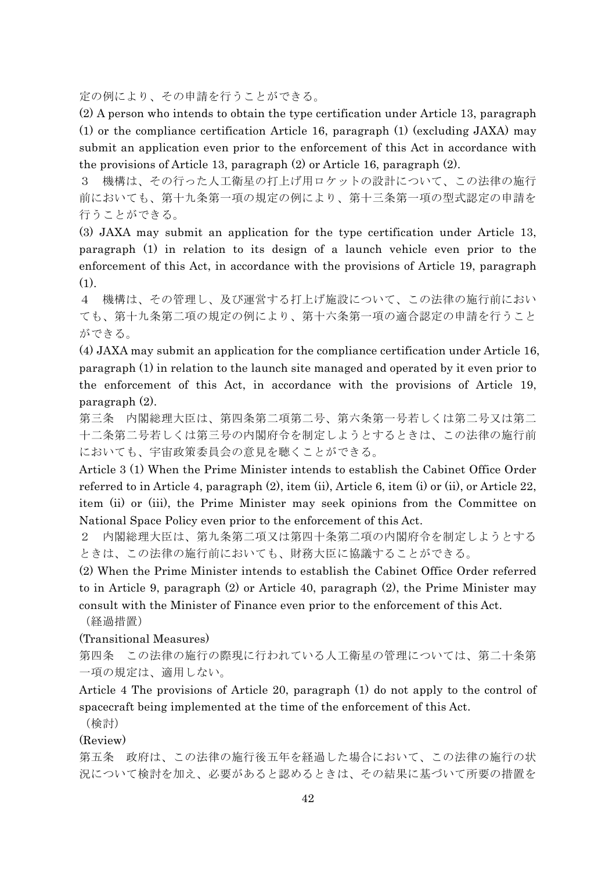定の例により、その申請を行うことができる。

(2) A person who intends to obtain the type certification under Article 13, paragraph (1) or the compliance certification Article 16, paragraph (1) (excluding JAXA) may submit an application even prior to the enforcement of this Act in accordance with the provisions of Article 13, paragraph (2) or Article 16, paragraph (2).

3 機構は、その行った人工衛星の打上げ用ロケットの設計について、この法律の施行 前においても、第十九条第一項の規定の例により、第十三条第一項の型式認定の申請を 行うことができる。

(3) JAXA may submit an application for the type certification under Article 13, paragraph (1) in relation to its design of a launch vehicle even prior to the enforcement of this Act, in accordance with the provisions of Article 19, paragraph (1).

4 機構は、その管理し、及び運営する打上げ施設について、この法律の施行前におい ても、第十九条第二項の規定の例により、第十六条第一項の適合認定の申請を行うこと ができる。

(4) JAXA may submit an application for the compliance certification under Article 16, paragraph (1) in relation to the launch site managed and operated by it even prior to the enforcement of this Act, in accordance with the provisions of Article 19, paragraph (2).

第三条 内閣総理大臣は、第四条第二項第二号、第六条第一号若しくは第二号又は第二 十二条第二号若しくは第三号の内閣府令を制定しようとするときは、この法律の施行前 においても、宇宙政策委員会の意見を聴くことができる。

Article 3 (1) When the Prime Minister intends to establish the Cabinet Office Order referred to in Article 4, paragraph (2), item (ii), Article 6, item (i) or (ii), or Article 22, item (ii) or (iii), the Prime Minister may seek opinions from the Committee on National Space Policy even prior to the enforcement of this Act.

2 内閣総理大臣は、第九条第二項又は第四十条第二項の内閣府令を制定しようとする ときは、この法律の施行前においても、財務大臣に協議することができる。

(2) When the Prime Minister intends to establish the Cabinet Office Order referred to in Article 9, paragraph (2) or Article 40, paragraph (2), the Prime Minister may consult with the Minister of Finance even prior to the enforcement of this Act.

(経過措置)

(Transitional Measures)

第四条 この法律の施行の際現に行われている人工衛星の管理については、第二十条第 一項の規定は、適用しない。

Article 4 The provisions of Article 20, paragraph (1) do not apply to the control of spacecraft being implemented at the time of the enforcement of this Act.

(検討)

(Review)

第五条 政府は、この法律の施行後五年を経過した場合において、この法律の施行の状 況について検討を加え、必要があると認めるときは、その結果に基づいて所要の措置を